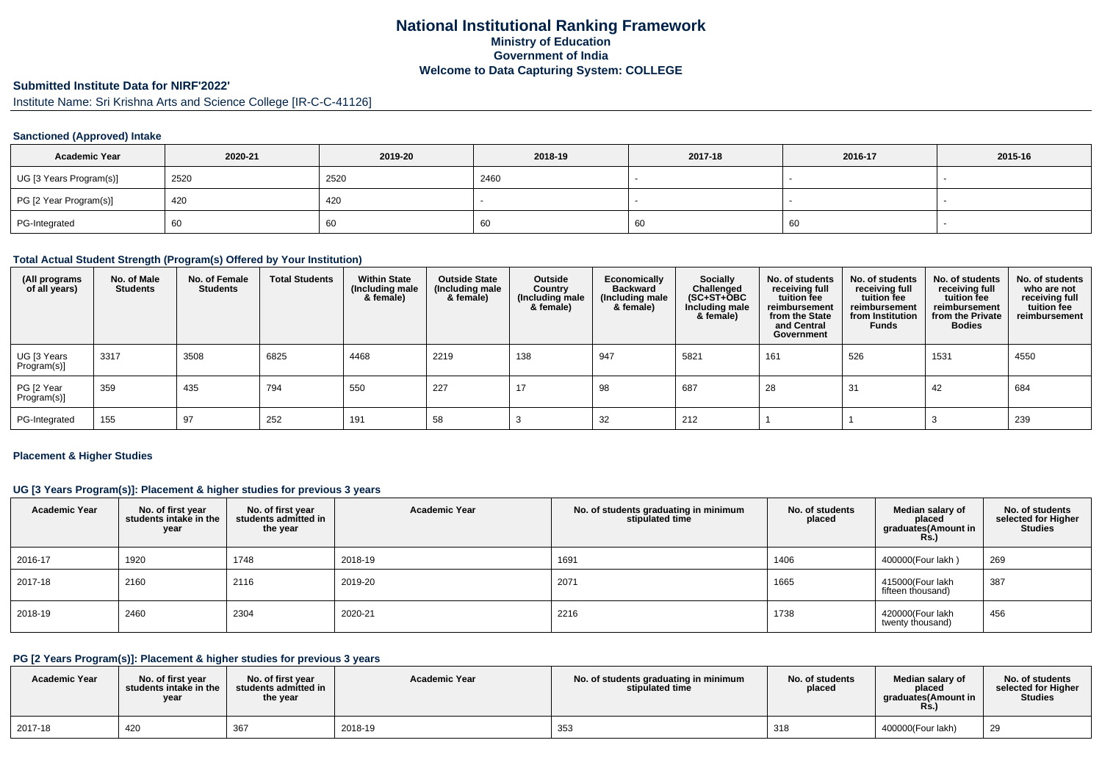## **National Institutional Ranking FrameworkMinistry of Education Government of IndiaWelcome to Data Capturing System: COLLEGE**

# **Submitted Institute Data for NIRF'2022'**

Institute Name: Sri Krishna Arts and Science College [IR-C-C-41126]

### **Sanctioned (Approved) Intake**

| <b>Academic Year</b>    | 2020-21 | 2019-20 | 2018-19 | 2017-18 | 2016-17 | 2015-16 |
|-------------------------|---------|---------|---------|---------|---------|---------|
| UG [3 Years Program(s)] | 2520    | 2520    | 2460    |         |         |         |
| PG [2 Year Program(s)]  | 420     | 420     |         |         |         |         |
| PG-Integrated           | 60      | 60      | -60     | '66     | 60      |         |

#### **Total Actual Student Strength (Program(s) Offered by Your Institution)**

| (All programs<br>of all years) | No. of Male<br><b>Students</b> | No. of Female<br><b>Students</b> | <b>Total Students</b> | <b>Within State</b><br>(Including male<br>& female) | <b>Outside State</b><br>(Including male<br>& female) | Outside<br>Country<br>(Including male<br>& female) | Economically<br><b>Backward</b><br>(Including male<br>& female) | <b>Socially</b><br>Challenged<br>$(SC+ST+\text{O}BC)$<br>Including male<br>& female) | No. of students<br>receiving full<br>tuition fee<br>reimbursement<br>from the State<br>and Central<br>Government | No. of students<br>receiving full<br>tuition fee<br>reimbursement<br>from Institution<br><b>Funds</b> | No. of students<br>receiving full<br>tuition fee<br>reimbursement<br>from the Private<br><b>Bodies</b> | No. of students<br>who are not<br>receiving full<br>tuition fee<br>reimbursement |
|--------------------------------|--------------------------------|----------------------------------|-----------------------|-----------------------------------------------------|------------------------------------------------------|----------------------------------------------------|-----------------------------------------------------------------|--------------------------------------------------------------------------------------|------------------------------------------------------------------------------------------------------------------|-------------------------------------------------------------------------------------------------------|--------------------------------------------------------------------------------------------------------|----------------------------------------------------------------------------------|
| UG [3 Years<br>Program(s)]     | 3317                           | 3508                             | 6825                  | 4468                                                | 2219                                                 | 138                                                | 947                                                             | 5821                                                                                 | 161                                                                                                              | 526                                                                                                   | 1531                                                                                                   | 4550                                                                             |
| PG [2 Year<br>Program(s)]      | 359                            | 435                              | 794                   | 550                                                 | 227                                                  | 17                                                 | 98                                                              | 687                                                                                  | 28                                                                                                               | 31                                                                                                    | 42                                                                                                     | 684                                                                              |
| PG-Integrated                  | 155                            | 97                               | 252                   | 191                                                 | -58                                                  |                                                    | 32                                                              | 212                                                                                  |                                                                                                                  |                                                                                                       |                                                                                                        | 239                                                                              |

#### **Placement & Higher Studies**

### **UG [3 Years Program(s)]: Placement & higher studies for previous 3 years**

| <b>Academic Year</b> | No. of first year<br>students intake in the<br>year | No. of first year<br>students admitted in<br>the year | <b>Academic Year</b> | No. of students graduating in minimum<br>stipulated time | No. of students<br>placed | Median salary of<br>placed<br>graduates(Amount in<br>$RS$ .) | No. of students<br>selected for Higher<br><b>Studies</b> |
|----------------------|-----------------------------------------------------|-------------------------------------------------------|----------------------|----------------------------------------------------------|---------------------------|--------------------------------------------------------------|----------------------------------------------------------|
| 2016-17              | 1920                                                | 1748                                                  | 2018-19              | 1691                                                     | 1406                      | 400000(Four lakh)                                            | 269                                                      |
| 2017-18              | 2160                                                | 2116                                                  | 2019-20              | 2071                                                     | 1665                      | 415000(Four lakh<br>fifteen thousand)                        | 387                                                      |
| 2018-19              | 2460                                                | 2304                                                  | 2020-21              | 2216                                                     | 1738                      | 420000(Four lakh<br>twenty thousand)                         | 456                                                      |

### **PG [2 Years Program(s)]: Placement & higher studies for previous 3 years**

| <b>Academic Year</b> | No. of first year<br>students intake in the<br>year | No. of first year<br>students admitted in<br>the year | <b>Academic Year</b> | No. of students graduating in minimum<br>stipulated time | No. of students<br>placed | Median salary of<br>placed<br>araduates(Amount in<br>Rs. | No. of students<br>selected for Higher<br><b>Studies</b> |
|----------------------|-----------------------------------------------------|-------------------------------------------------------|----------------------|----------------------------------------------------------|---------------------------|----------------------------------------------------------|----------------------------------------------------------|
| 2017-18              | 420                                                 | 367                                                   | 2018-19              | 353                                                      | 318                       | 400000(Four lakh)                                        | 29                                                       |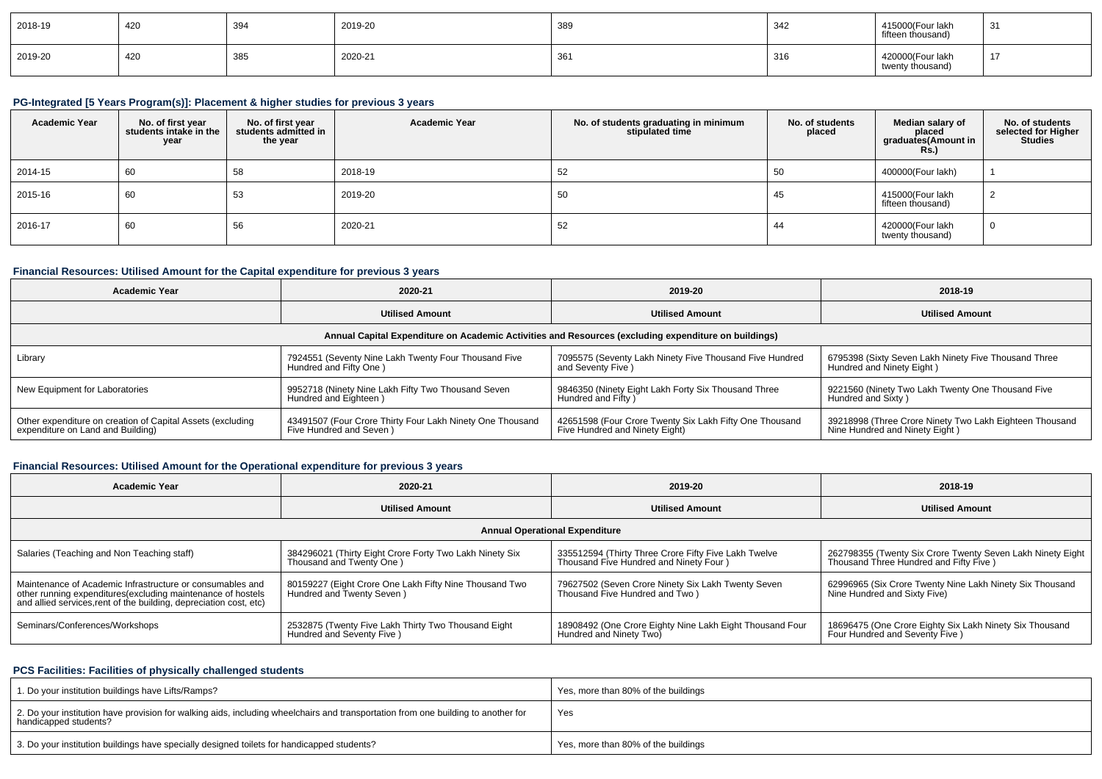| 2018-19 | 420 | 394 | 2019-20 | 389 | 342 | 415000(Four lakh<br>fifteen thousand) | 31      |
|---------|-----|-----|---------|-----|-----|---------------------------------------|---------|
| 2019-20 | 420 | 385 | 2020-21 | 361 | 316 | 420000(Four lakh<br>twenty thousand)  | 47<br>. |

# **PG-Integrated [5 Years Program(s)]: Placement & higher studies for previous 3 years**

| <b>Academic Year</b> | No. of first year<br>students intake in the<br>year | No. of first year<br>students admitted in<br>the year | <b>Academic Year</b> | No. of students graduating in minimum<br>stipulated time | No. of students<br>placed | Median salary of<br>placed<br>graduates(Amount in<br>Rs. | No. of students<br>selected for Higher<br><b>Studies</b> |
|----------------------|-----------------------------------------------------|-------------------------------------------------------|----------------------|----------------------------------------------------------|---------------------------|----------------------------------------------------------|----------------------------------------------------------|
| 2014-15              | 60                                                  | 58                                                    | 2018-19              | 52                                                       | -50                       | 400000(Four lakh)                                        |                                                          |
| 2015-16              | 60                                                  | 53                                                    | 2019-20              | 50                                                       | 45                        | 415000(Four lakh<br>fifteen thousand)                    |                                                          |
| 2016-17              | 60                                                  | 56                                                    | 2020-21              | 52                                                       | 44                        | 420000(Four lakh<br>twenty thousand)                     |                                                          |

## **Financial Resources: Utilised Amount for the Capital expenditure for previous 3 years**

| Academic Year                                                                                        | 2020-21                                                   | 2019-20                                                 | 2018-19                                                 |  |  |  |  |  |  |  |
|------------------------------------------------------------------------------------------------------|-----------------------------------------------------------|---------------------------------------------------------|---------------------------------------------------------|--|--|--|--|--|--|--|
|                                                                                                      | <b>Utilised Amount</b>                                    | <b>Utilised Amount</b>                                  | <b>Utilised Amount</b>                                  |  |  |  |  |  |  |  |
| Annual Capital Expenditure on Academic Activities and Resources (excluding expenditure on buildings) |                                                           |                                                         |                                                         |  |  |  |  |  |  |  |
| Library                                                                                              | 7924551 (Seventy Nine Lakh Twenty Four Thousand Five      | 7095575 (Seventy Lakh Ninety Five Thousand Five Hundred | 6795398 (Sixty Seven Lakh Ninety Five Thousand Three    |  |  |  |  |  |  |  |
|                                                                                                      | Hundred and Fifty One)                                    | and Seventy Five)                                       | Hundred and Ninety Eight)                               |  |  |  |  |  |  |  |
| New Equipment for Laboratories                                                                       | 9952718 (Ninety Nine Lakh Fifty Two Thousand Seven        | 9846350 (Ninety Eight Lakh Forty Six Thousand Three     | 9221560 (Ninety Two Lakh Twenty One Thousand Five       |  |  |  |  |  |  |  |
|                                                                                                      | Hundred and Eighteen)                                     | Hundred and Fifty)                                      | Hundred and Sixty)                                      |  |  |  |  |  |  |  |
| Other expenditure on creation of Capital Assets (excluding                                           | 43491507 (Four Crore Thirty Four Lakh Ninety One Thousand | 42651598 (Four Crore Twenty Six Lakh Fifty One Thousand | 39218998 (Three Crore Ninety Two Lakh Eighteen Thousand |  |  |  |  |  |  |  |
| expenditure on Land and Building)                                                                    | Five Hundred and Seven)                                   | Five Hundred and Ninety Eight)                          | Nine Hundred and Ninety Eight)                          |  |  |  |  |  |  |  |

## **Financial Resources: Utilised Amount for the Operational expenditure for previous 3 years**

| <b>Academic Year</b>                                                                                                                                                                            | 2020-21                                                                              | 2019-20                                                                                        | 2018-19                                                                                               |  |
|-------------------------------------------------------------------------------------------------------------------------------------------------------------------------------------------------|--------------------------------------------------------------------------------------|------------------------------------------------------------------------------------------------|-------------------------------------------------------------------------------------------------------|--|
|                                                                                                                                                                                                 | <b>Utilised Amount</b>                                                               | <b>Utilised Amount</b>                                                                         | <b>Utilised Amount</b>                                                                                |  |
|                                                                                                                                                                                                 |                                                                                      | <b>Annual Operational Expenditure</b>                                                          |                                                                                                       |  |
| Salaries (Teaching and Non Teaching staff)                                                                                                                                                      | 384296021 (Thirty Eight Crore Forty Two Lakh Ninety Six<br>Thousand and Twenty One ) | 335512594 (Thirty Three Crore Fifty Five Lakh Twelve<br>Thousand Five Hundred and Ninety Four) | 262798355 (Twenty Six Crore Twenty Seven Lakh Ninety Eight<br>Thousand Three Hundred and Fifty Five ) |  |
| Maintenance of Academic Infrastructure or consumables and<br>other running expenditures (excluding maintenance of hostels<br>and allied services, rent of the building, depreciation cost, etc) | 80159227 (Eight Crore One Lakh Fifty Nine Thousand Two<br>Hundred and Twenty Seven)  | 79627502 (Seven Crore Ninety Six Lakh Twenty Seven<br>Thousand Five Hundred and Two)           | 62996965 (Six Crore Twenty Nine Lakh Ninety Six Thousand<br>Nine Hundred and Sixty Five)              |  |
| Seminars/Conferences/Workshops                                                                                                                                                                  | 2532875 (Twenty Five Lakh Thirty Two Thousand Eight<br>Hundred and Seventy Five )    | 18908492 (One Crore Eighty Nine Lakh Eight Thousand Four<br>Hundred and Ninety Two)            | 18696475 (One Crore Eighty Six Lakh Ninety Six Thousand<br>Four Hundred and Seventy Five )            |  |

## **PCS Facilities: Facilities of physically challenged students**

| 1. Do your institution buildings have Lifts/Ramps?                                                                                                         | Yes, more than 80% of the buildings |
|------------------------------------------------------------------------------------------------------------------------------------------------------------|-------------------------------------|
| 2. Do your institution have provision for walking aids, including wheelchairs and transportation from one building to another for<br>handicapped students? | Yes                                 |
| 3. Do your institution buildings have specially designed toilets for handicapped students?                                                                 | Yes, more than 80% of the buildings |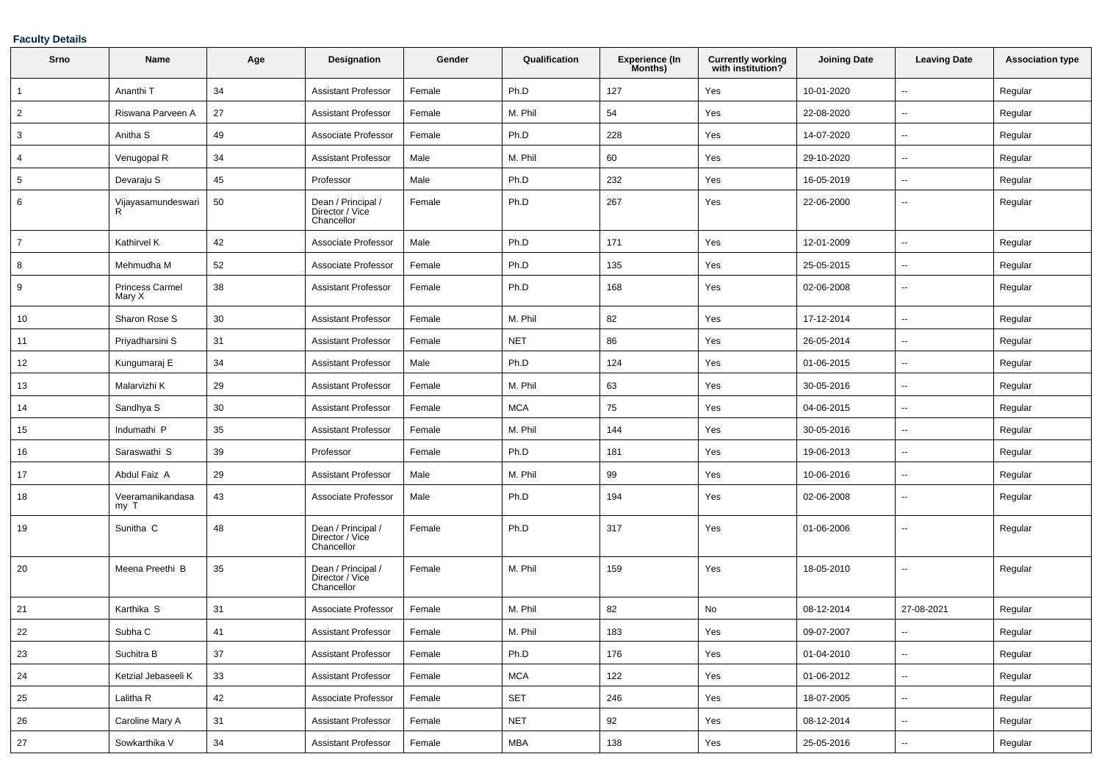### **Faculty Details**

| Srno           | Name                             | Age | Designation                                         | Gender | Qualification | Experience (In<br>Months) | <b>Currently working</b><br>with institution? | <b>Joining Date</b> | <b>Leaving Date</b>      | <b>Association type</b> |
|----------------|----------------------------------|-----|-----------------------------------------------------|--------|---------------|---------------------------|-----------------------------------------------|---------------------|--------------------------|-------------------------|
| $\mathbf{1}$   | Ananthi T                        | 34  | <b>Assistant Professor</b>                          | Female | Ph.D          | 127                       | Yes                                           | 10-01-2020          | $\overline{\phantom{a}}$ | Regular                 |
| $\overline{2}$ | Riswana Parveen A                | 27  | <b>Assistant Professor</b>                          | Female | M. Phil       | 54                        | Yes                                           | 22-08-2020          | $\overline{\phantom{a}}$ | Regular                 |
| 3              | Anitha <sub>S</sub>              | 49  | Associate Professor                                 | Female | Ph.D          | 228                       | Yes                                           | 14-07-2020          | $\sim$                   | Regular                 |
| 4              | Venugopal R                      | 34  | <b>Assistant Professor</b>                          | Male   | M. Phil       | 60                        | Yes                                           | 29-10-2020          | $\sim$                   | Regular                 |
| 5              | Devaraju S                       | 45  | Professor                                           | Male   | Ph.D          | 232                       | Yes                                           | 16-05-2019          | $\sim$                   | Regular                 |
| 6              | Vijayasamundeswari               | 50  | Dean / Principal /<br>Director / Vice<br>Chancellor | Female | Ph.D          | 267                       | Yes                                           | 22-06-2000          | $\sim$                   | Regular                 |
| $\overline{7}$ | Kathirvel K                      | 42  | Associate Professor                                 | Male   | Ph.D          | 171                       | Yes                                           | 12-01-2009          | $\sim$                   | Regular                 |
| 8              | Mehmudha M                       | 52  | Associate Professor                                 | Female | Ph.D          | 135                       | Yes                                           | 25-05-2015          | $\sim$                   | Regular                 |
| 9              | <b>Princess Carmel</b><br>Mary X | 38  | <b>Assistant Professor</b>                          | Female | Ph.D          | 168                       | Yes                                           | 02-06-2008          | $\overline{\phantom{a}}$ | Regular                 |
| 10             | Sharon Rose S                    | 30  | <b>Assistant Professor</b>                          | Female | M. Phil       | 82                        | Yes                                           | 17-12-2014          | $\sim$                   | Regular                 |
| 11             | Priyadharsini S                  | 31  | <b>Assistant Professor</b>                          | Female | <b>NET</b>    | 86                        | Yes                                           | 26-05-2014          | $\overline{\phantom{a}}$ | Regular                 |
| 12             | Kungumaraj E                     | 34  | <b>Assistant Professor</b>                          | Male   | Ph.D          | 124                       | Yes                                           | 01-06-2015          | $\sim$                   | Regular                 |
| 13             | Malarvizhi K                     | 29  | <b>Assistant Professor</b>                          | Female | M. Phil       | 63                        | Yes                                           | 30-05-2016          | $\sim$                   | Regular                 |
| 14             | Sandhya S                        | 30  | <b>Assistant Professor</b>                          | Female | <b>MCA</b>    | 75                        | Yes                                           | 04-06-2015          | $\sim$                   | Regular                 |
| 15             | Indumathi P                      | 35  | <b>Assistant Professor</b>                          | Female | M. Phil       | 144                       | Yes                                           | 30-05-2016          | $\sim$                   | Regular                 |
| 16             | Saraswathi S                     | 39  | Professor                                           | Female | Ph.D          | 181                       | Yes                                           | 19-06-2013          | $\sim$                   | Regular                 |
| 17             | Abdul Faiz A                     | 29  | <b>Assistant Professor</b>                          | Male   | M. Phil       | 99                        | Yes                                           | 10-06-2016          | $\sim$                   | Regular                 |
| 18             | Veeramanikandasa<br>my T         | 43  | Associate Professor                                 | Male   | Ph.D          | 194                       | Yes                                           | 02-06-2008          | $\sim$                   | Regular                 |
| 19             | Sunitha <sub>C</sub>             | 48  | Dean / Principal /<br>Director / Vice<br>Chancellor | Female | Ph.D          | 317                       | Yes                                           | 01-06-2006          | $\sim$                   | Regular                 |
| 20             | Meena Preethi B                  | 35  | Dean / Principal /<br>Director / Vice<br>Chancellor | Female | M. Phil       | 159                       | Yes                                           | 18-05-2010          | $\sim$                   | Regular                 |
| 21             | Karthika S                       | 31  | Associate Professor                                 | Female | M. Phil       | 82                        | No                                            | 08-12-2014          | 27-08-2021               | Regular                 |
| 22             | Subha C                          | 41  | Assistant Professor                                 | Female | M. Phil       | 183                       | Yes                                           | 09-07-2007          | $\sim$                   | Regular                 |
| 23             | Suchitra B                       | 37  | <b>Assistant Professor</b>                          | Female | Ph.D          | 176                       | Yes                                           | 01-04-2010          | $\overline{\phantom{a}}$ | Regular                 |
| 24             | Ketzial Jebaseeli K              | 33  | <b>Assistant Professor</b>                          | Female | <b>MCA</b>    | 122                       | Yes                                           | 01-06-2012          | $\sim$                   | Regular                 |
| 25             | Lalitha R                        | 42  | Associate Professor                                 | Female | <b>SET</b>    | 246                       | Yes                                           | 18-07-2005          | $\sim$                   | Regular                 |
| 26             | Caroline Mary A                  | 31  | <b>Assistant Professor</b>                          | Female | <b>NET</b>    | 92                        | Yes                                           | 08-12-2014          | $\overline{\phantom{a}}$ | Regular                 |
| 27             | Sowkarthika V                    | 34  | <b>Assistant Professor</b>                          | Female | MBA           | 138                       | Yes                                           | 25-05-2016          | $\sim$                   | Regular                 |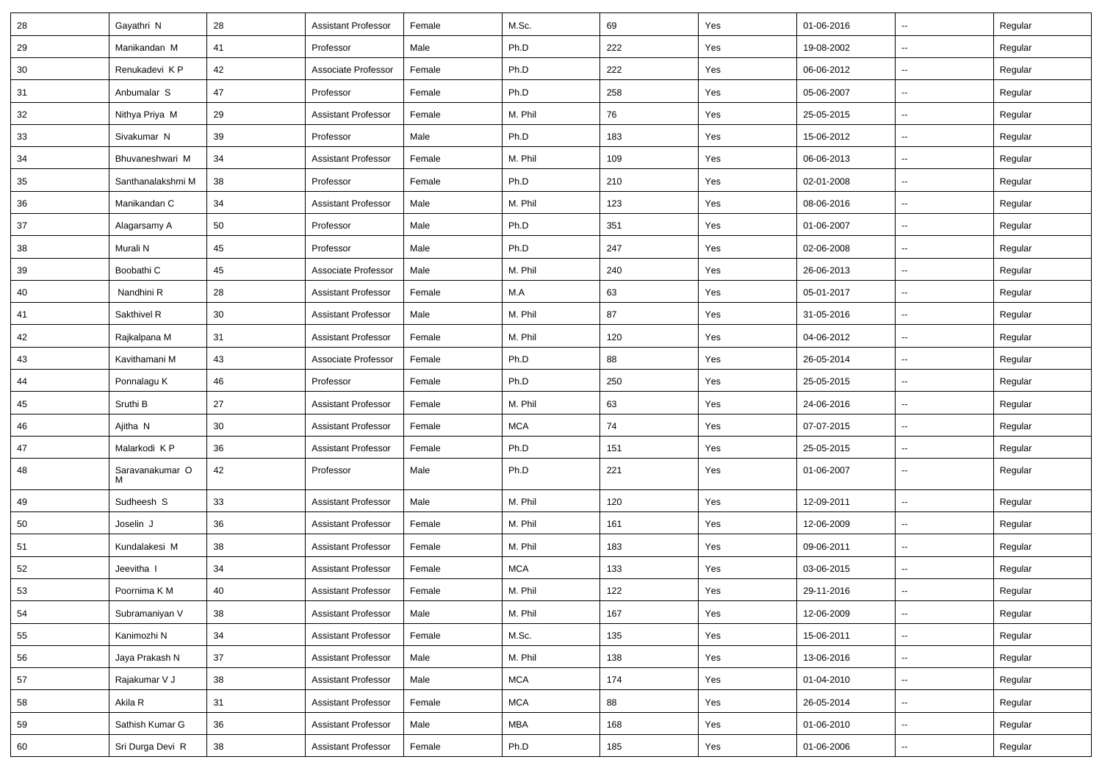| 28         | Gayathri N             | 28 | <b>Assistant Professor</b> | Female | M.Sc.      | 69  | Yes | 01-06-2016 | $\overline{\phantom{a}}$ | Regular |
|------------|------------------------|----|----------------------------|--------|------------|-----|-----|------------|--------------------------|---------|
| 29         | Manikandan M           | 41 | Professor                  | Male   | Ph.D       | 222 | Yes | 19-08-2002 | $\overline{\phantom{a}}$ | Regular |
| 30         | Renukadevi KP          | 42 | Associate Professor        | Female | Ph.D       | 222 | Yes | 06-06-2012 | $\overline{\phantom{a}}$ | Regular |
| 31         | Anbumalar S            | 47 | Professor                  | Female | Ph.D       | 258 | Yes | 05-06-2007 | $\overline{\phantom{a}}$ | Regular |
| 32         | Nithya Priya M         | 29 | <b>Assistant Professor</b> | Female | M. Phil    | 76  | Yes | 25-05-2015 | $\overline{\phantom{a}}$ | Regular |
| 33         | Sivakumar <sub>N</sub> | 39 | Professor                  | Male   | Ph.D       | 183 | Yes | 15-06-2012 | -−                       | Regular |
| 34         | Bhuvaneshwari M        | 34 | <b>Assistant Professor</b> | Female | M. Phil    | 109 | Yes | 06-06-2013 | ш.                       | Regular |
| 35         | Santhanalakshmi M      | 38 | Professor                  | Female | Ph.D       | 210 | Yes | 02-01-2008 | ⊶.                       | Regular |
| 36         | Manikandan C           | 34 | <b>Assistant Professor</b> | Male   | M. Phil    | 123 | Yes | 08-06-2016 | ⊶.                       | Regular |
| 37         | Alagarsamy A           | 50 | Professor                  | Male   | Ph.D       | 351 | Yes | 01-06-2007 | $\overline{\phantom{a}}$ | Regular |
| 38         | Murali N               | 45 | Professor                  | Male   | Ph.D       | 247 | Yes | 02-06-2008 | $\overline{\phantom{a}}$ | Regular |
| 39         | Boobathi C             | 45 | Associate Professor        | Male   | M. Phil    | 240 | Yes | 26-06-2013 | $\overline{\phantom{a}}$ | Regular |
| 40         | Nandhini R             | 28 | <b>Assistant Professor</b> | Female | M.A        | 63  | Yes | 05-01-2017 | Ξ.                       | Regular |
| 41         | Sakthivel R            | 30 | <b>Assistant Professor</b> | Male   | M. Phil    | 87  | Yes | 31-05-2016 | $\sim$                   | Regular |
| 42         | Rajkalpana M           | 31 | <b>Assistant Professor</b> | Female | M. Phil    | 120 | Yes | 04-06-2012 | $\sim$                   | Regular |
| 43         | Kavithamani M          | 43 | Associate Professor        | Female | Ph.D       | 88  | Yes | 26-05-2014 | $\overline{\phantom{a}}$ | Regular |
| 44         | Ponnalagu K            | 46 | Professor                  | Female | Ph.D       | 250 | Yes | 25-05-2015 | --                       | Regular |
| 45         | Sruthi B               | 27 | <b>Assistant Professor</b> | Female | M. Phil    | 63  | Yes | 24-06-2016 | ⊷.                       | Regular |
| 46         | Ajitha N               | 30 | <b>Assistant Professor</b> | Female | <b>MCA</b> | 74  | Yes | 07-07-2015 | Ξ.                       | Regular |
| 47         | Malarkodi K P          | 36 | <b>Assistant Professor</b> | Female | Ph.D       | 151 | Yes | 25-05-2015 | $\sim$                   | Regular |
| 48         | Saravanakumar O<br>M   | 42 | Professor                  | Male   | Ph.D       | 221 | Yes | 01-06-2007 | ⊷.                       | Regular |
| 49         | Sudheesh S             | 33 | <b>Assistant Professor</b> | Male   | M. Phil    | 120 | Yes | 12-09-2011 | $\overline{\phantom{a}}$ | Regular |
| 50         | Joselin J              | 36 | <b>Assistant Professor</b> | Female | M. Phil    | 161 | Yes | 12-06-2009 | Ξ.                       | Regular |
| 51         | Kundalakesi M          | 38 | <b>Assistant Professor</b> | Female | M. Phil    | 183 | Yes | 09-06-2011 | $\overline{\phantom{a}}$ | Regular |
| 52         | Jeevitha I             | 34 | <b>Assistant Professor</b> | Female | <b>MCA</b> | 133 | Yes | 03-06-2015 | -−                       | Regular |
| 53         | Poornima K M           | 40 | <b>Assistant Professor</b> | Female | M. Phil    | 122 | Yes | 29-11-2016 | $\overline{\phantom{a}}$ | Regular |
| 54         | Subramaniyan V         | 38 | <b>Assistant Professor</b> | Male   | M. Phil    | 167 | Yes | 12-06-2009 | $\sim$                   | Regular |
| ${\bf 55}$ | Kanimozhi N            | 34 | <b>Assistant Professor</b> | Female | M.Sc.      | 135 | Yes | 15-06-2011 | $\overline{\phantom{a}}$ | Regular |
| 56         | Jaya Prakash N         | 37 | <b>Assistant Professor</b> | Male   | M. Phil    | 138 | Yes | 13-06-2016 | Щ,                       | Regular |
| 57         | Rajakumar V J          | 38 | <b>Assistant Professor</b> | Male   | <b>MCA</b> | 174 | Yes | 01-04-2010 | $\overline{\phantom{a}}$ | Regular |
| 58         | Akila R                | 31 | <b>Assistant Professor</b> | Female | <b>MCA</b> | 88  | Yes | 26-05-2014 | ш.                       | Regular |
| 59         | Sathish Kumar G        | 36 | <b>Assistant Professor</b> | Male   | <b>MBA</b> | 168 | Yes | 01-06-2010 | Щ,                       | Regular |
| 60         | Sri Durga Devi R       | 38 | <b>Assistant Professor</b> | Female | Ph.D       | 185 | Yes | 01-06-2006 | $\overline{\phantom{a}}$ | Regular |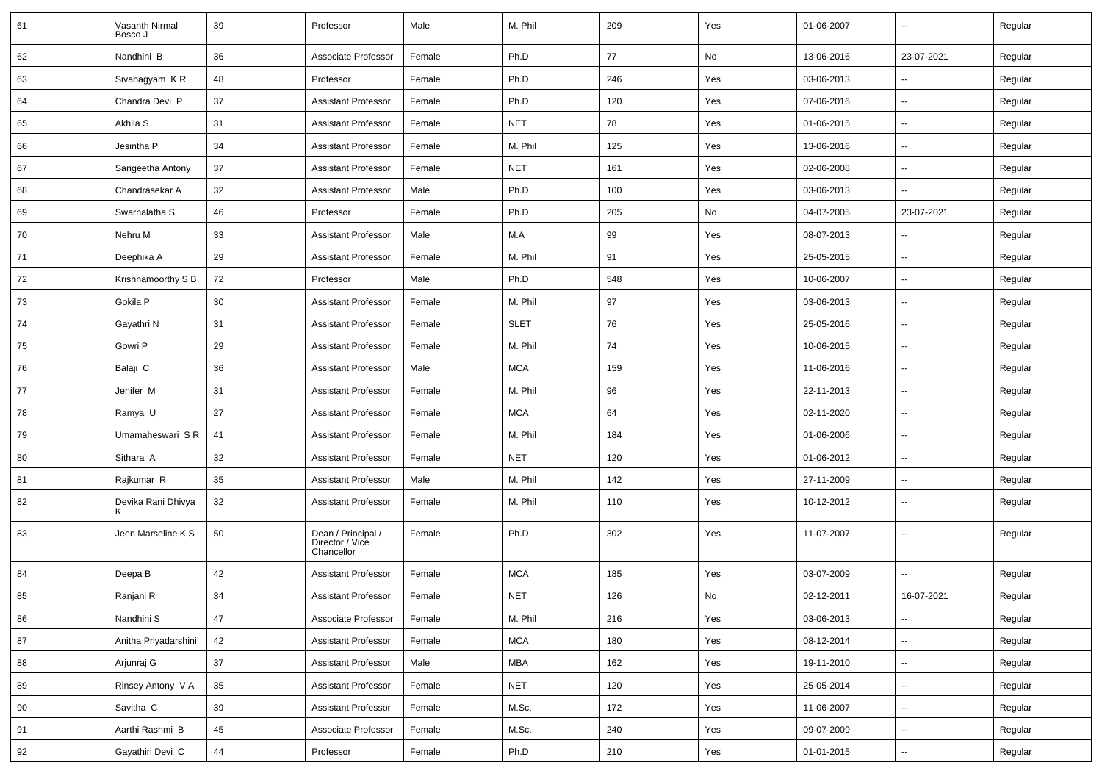| 61 | Vasanth Nirmal<br>Bosco J | 39 | Professor                                           | Male   | M. Phil     | 209 | Yes | 01-06-2007 | $\sim$                   | Regular |
|----|---------------------------|----|-----------------------------------------------------|--------|-------------|-----|-----|------------|--------------------------|---------|
| 62 | Nandhini B                | 36 | Associate Professor                                 | Female | Ph.D        | 77  | No  | 13-06-2016 | 23-07-2021               | Regular |
| 63 | Sivabagyam KR             | 48 | Professor                                           | Female | Ph.D        | 246 | Yes | 03-06-2013 | $\sim$                   | Regular |
| 64 | Chandra Devi P            | 37 | <b>Assistant Professor</b>                          | Female | Ph.D        | 120 | Yes | 07-06-2016 | $\sim$                   | Regular |
| 65 | Akhila S                  | 31 | <b>Assistant Professor</b>                          | Female | <b>NET</b>  | 78  | Yes | 01-06-2015 | $\overline{\phantom{a}}$ | Regular |
| 66 | Jesintha P                | 34 | <b>Assistant Professor</b>                          | Female | M. Phil     | 125 | Yes | 13-06-2016 | $\overline{\phantom{a}}$ | Regular |
| 67 | Sangeetha Antony          | 37 | <b>Assistant Professor</b>                          | Female | <b>NET</b>  | 161 | Yes | 02-06-2008 | $\sim$                   | Regular |
| 68 | Chandrasekar A            | 32 | <b>Assistant Professor</b>                          | Male   | Ph.D        | 100 | Yes | 03-06-2013 | $\sim$                   | Regular |
| 69 | Swarnalatha S             | 46 | Professor                                           | Female | Ph.D        | 205 | No  | 04-07-2005 | 23-07-2021               | Regular |
| 70 | Nehru M                   | 33 | <b>Assistant Professor</b>                          | Male   | M.A         | 99  | Yes | 08-07-2013 | $\sim$                   | Regular |
| 71 | Deephika A                | 29 | <b>Assistant Professor</b>                          | Female | M. Phil     | 91  | Yes | 25-05-2015 | $\sim$                   | Regular |
| 72 | Krishnamoorthy S B        | 72 | Professor                                           | Male   | Ph.D        | 548 | Yes | 10-06-2007 | $\overline{\phantom{a}}$ | Regular |
| 73 | Gokila P                  | 30 | <b>Assistant Professor</b>                          | Female | M. Phil     | 97  | Yes | 03-06-2013 | $\sim$                   | Regular |
| 74 | Gayathri N                | 31 | <b>Assistant Professor</b>                          | Female | <b>SLET</b> | 76  | Yes | 25-05-2016 | $\sim$                   | Regular |
| 75 | Gowri P                   | 29 | <b>Assistant Professor</b>                          | Female | M. Phil     | 74  | Yes | 10-06-2015 | $\sim$                   | Regular |
| 76 | Balaji C                  | 36 | <b>Assistant Professor</b>                          | Male   | <b>MCA</b>  | 159 | Yes | 11-06-2016 | $\sim$                   | Regular |
| 77 | Jenifer M                 | 31 | <b>Assistant Professor</b>                          | Female | M. Phil     | 96  | Yes | 22-11-2013 | $\overline{\phantom{a}}$ | Regular |
| 78 | Ramya U                   | 27 | <b>Assistant Professor</b>                          | Female | <b>MCA</b>  | 64  | Yes | 02-11-2020 | $\sim$                   | Regular |
| 79 | Umamaheswari SR           | 41 | <b>Assistant Professor</b>                          | Female | M. Phil     | 184 | Yes | 01-06-2006 | $\sim$                   | Regular |
| 80 | Sithara A                 | 32 | <b>Assistant Professor</b>                          | Female | <b>NET</b>  | 120 | Yes | 01-06-2012 | $\sim$                   | Regular |
| 81 | Rajkumar R                | 35 | <b>Assistant Professor</b>                          | Male   | M. Phil     | 142 | Yes | 27-11-2009 | $\sim$                   | Regular |
| 82 | Devika Rani Dhivya        | 32 | <b>Assistant Professor</b>                          | Female | M. Phil     | 110 | Yes | 10-12-2012 | $\overline{\phantom{a}}$ | Regular |
| 83 | Jeen Marseline K S        | 50 | Dean / Principal /<br>Director / Vice<br>Chancellor | Female | Ph.D        | 302 | Yes | 11-07-2007 | $\overline{\phantom{a}}$ | Regular |
| 84 | Deepa B                   | 42 | <b>Assistant Professor</b>                          | Female | <b>MCA</b>  | 185 | Yes | 03-07-2009 | $\sim$                   | Regular |
| 85 | Ranjani R                 | 34 | <b>Assistant Professor</b>                          | Female | <b>NET</b>  | 126 | No  | 02-12-2011 | 16-07-2021               | Regular |
| 86 | Nandhini S                | 47 | Associate Professor                                 | Female | M. Phil     | 216 | Yes | 03-06-2013 | $\sim$                   | Regular |
| 87 | Anitha Priyadarshini      | 42 | <b>Assistant Professor</b>                          | Female | <b>MCA</b>  | 180 | Yes | 08-12-2014 | $\sim$                   | Regular |
| 88 | Arjunraj G                | 37 | <b>Assistant Professor</b>                          | Male   | <b>MBA</b>  | 162 | Yes | 19-11-2010 | $\sim$                   | Regular |
| 89 | Rinsey Antony V A         | 35 | <b>Assistant Professor</b>                          | Female | <b>NET</b>  | 120 | Yes | 25-05-2014 | $\sim$                   | Regular |
| 90 | Savitha C                 | 39 | <b>Assistant Professor</b>                          | Female | M.Sc.       | 172 | Yes | 11-06-2007 | $\sim$                   | Regular |
| 91 | Aarthi Rashmi B           | 45 | Associate Professor                                 | Female | M.Sc.       | 240 | Yes | 09-07-2009 | $\sim$                   | Regular |
| 92 | Gayathiri Devi C          | 44 | Professor                                           | Female | Ph.D        | 210 | Yes | 01-01-2015 | $\sim$                   | Regular |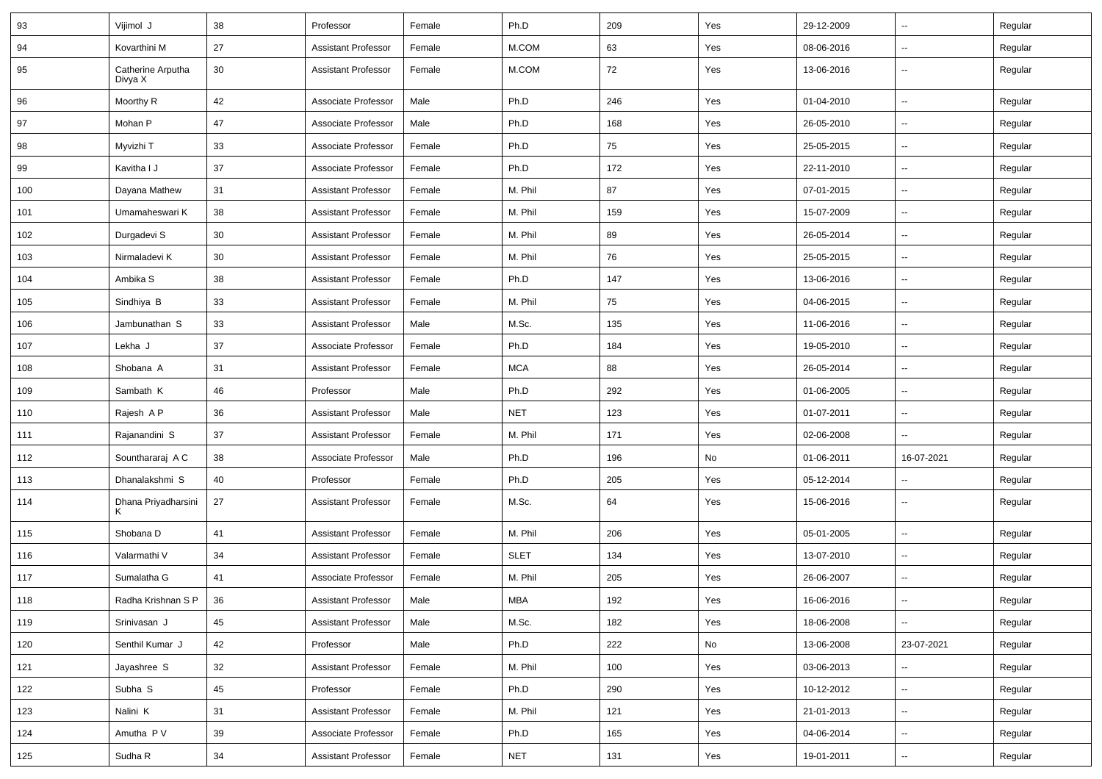| 93  | Vijimol J                    | 38 | Professor                  | Female | Ph.D        | 209 | Yes | 29-12-2009 | $\overline{\phantom{a}}$ | Regular |
|-----|------------------------------|----|----------------------------|--------|-------------|-----|-----|------------|--------------------------|---------|
| 94  | Kovarthini M                 | 27 | <b>Assistant Professor</b> | Female | M.COM       | 63  | Yes | 08-06-2016 | ⊷.                       | Regular |
| 95  | Catherine Arputha<br>Divya X | 30 | <b>Assistant Professor</b> | Female | M.COM       | 72  | Yes | 13-06-2016 | ⊷.                       | Regular |
| 96  | Moorthy R                    | 42 | Associate Professor        | Male   | Ph.D        | 246 | Yes | 01-04-2010 | $\sim$                   | Regular |
| 97  | Mohan P                      | 47 | Associate Professor        | Male   | Ph.D        | 168 | Yes | 26-05-2010 | -−                       | Regular |
| 98  | Myvizhi T                    | 33 | Associate Professor        | Female | Ph.D        | 75  | Yes | 25-05-2015 | ⊷.                       | Regular |
| 99  | Kavitha I J                  | 37 | Associate Professor        | Female | Ph.D        | 172 | Yes | 22-11-2010 | Ξ.                       | Regular |
| 100 | Dayana Mathew                | 31 | <b>Assistant Professor</b> | Female | M. Phil     | 87  | Yes | 07-01-2015 | $\sim$                   | Regular |
| 101 | Umamaheswari K               | 38 | <b>Assistant Professor</b> | Female | M. Phil     | 159 | Yes | 15-07-2009 | ⊷.                       | Regular |
| 102 | Durgadevi S                  | 30 | <b>Assistant Professor</b> | Female | M. Phil     | 89  | Yes | 26-05-2014 | $\sim$                   | Regular |
| 103 | Nirmaladevi K                | 30 | <b>Assistant Professor</b> | Female | M. Phil     | 76  | Yes | 25-05-2015 | -−                       | Regular |
| 104 | Ambika S                     | 38 | <b>Assistant Professor</b> | Female | Ph.D        | 147 | Yes | 13-06-2016 | -−                       | Regular |
| 105 | Sindhiya B                   | 33 | <b>Assistant Professor</b> | Female | M. Phil     | 75  | Yes | 04-06-2015 | $\sim$                   | Regular |
| 106 | Jambunathan S                | 33 | <b>Assistant Professor</b> | Male   | M.Sc.       | 135 | Yes | 11-06-2016 | $\sim$                   | Regular |
| 107 | Lekha J                      | 37 | Associate Professor        | Female | Ph.D        | 184 | Yes | 19-05-2010 | ⊷.                       | Regular |
| 108 | Shobana A                    | 31 | <b>Assistant Professor</b> | Female | <b>MCA</b>  | 88  | Yes | 26-05-2014 | Ξ.                       | Regular |
| 109 | Sambath K                    | 46 | Professor                  | Male   | Ph.D        | 292 | Yes | 01-06-2005 | $\overline{\phantom{a}}$ | Regular |
| 110 | Rajesh AP                    | 36 | <b>Assistant Professor</b> | Male   | <b>NET</b>  | 123 | Yes | 01-07-2011 | -−                       | Regular |
| 111 | Rajanandini S                | 37 | <b>Assistant Professor</b> | Female | M. Phil     | 171 | Yes | 02-06-2008 |                          | Regular |
| 112 | Sounthararaj A C             | 38 | Associate Professor        | Male   | Ph.D        | 196 | No  | 01-06-2011 | 16-07-2021               | Regular |
| 113 | Dhanalakshmi S               | 40 | Professor                  | Female | Ph.D        | 205 | Yes | 05-12-2014 | ⊷.                       | Regular |
| 114 | Dhana Priyadharsini          | 27 | <b>Assistant Professor</b> | Female | M.Sc.       | 64  | Yes | 15-06-2016 | --                       | Regular |
| 115 | Shobana D                    | 41 | <b>Assistant Professor</b> | Female | M. Phil     | 206 | Yes | 05-01-2005 | Ξ.                       | Regular |
| 116 | Valarmathi V                 | 34 | <b>Assistant Professor</b> | Female | <b>SLET</b> | 134 | Yes | 13-07-2010 | --                       | Regular |
| 117 | Sumalatha G                  | 41 | Associate Professor        | Female | M. Phil     | 205 | Yes | 26-06-2007 | -−                       | Regular |
| 118 | Radha Krishnan S P           | 36 | Assistant Professor        | Male   | ${\sf MBA}$ | 192 | Yes | 16-06-2016 |                          | Regular |
| 119 | Srinivasan J                 | 45 | <b>Assistant Professor</b> | Male   | M.Sc.       | 182 | Yes | 18-06-2008 | $\sim$                   | Regular |
| 120 | Senthil Kumar J              | 42 | Professor                  | Male   | Ph.D        | 222 | No  | 13-06-2008 | 23-07-2021               | Regular |
| 121 | Jayashree S                  | 32 | <b>Assistant Professor</b> | Female | M. Phil     | 100 | Yes | 03-06-2013 | $\overline{\phantom{a}}$ | Regular |
| 122 | Subha S                      | 45 | Professor                  | Female | Ph.D        | 290 | Yes | 10-12-2012 | ₩,                       | Regular |
| 123 | Nalini K                     | 31 | <b>Assistant Professor</b> | Female | M. Phil     | 121 | Yes | 21-01-2013 | $\sim$                   | Regular |
| 124 | Amutha P V                   | 39 | Associate Professor        | Female | Ph.D        | 165 | Yes | 04-06-2014 | $\overline{\phantom{a}}$ | Regular |
| 125 | Sudha R                      | 34 | <b>Assistant Professor</b> | Female | NET         | 131 | Yes | 19-01-2011 | $\sim$                   | Regular |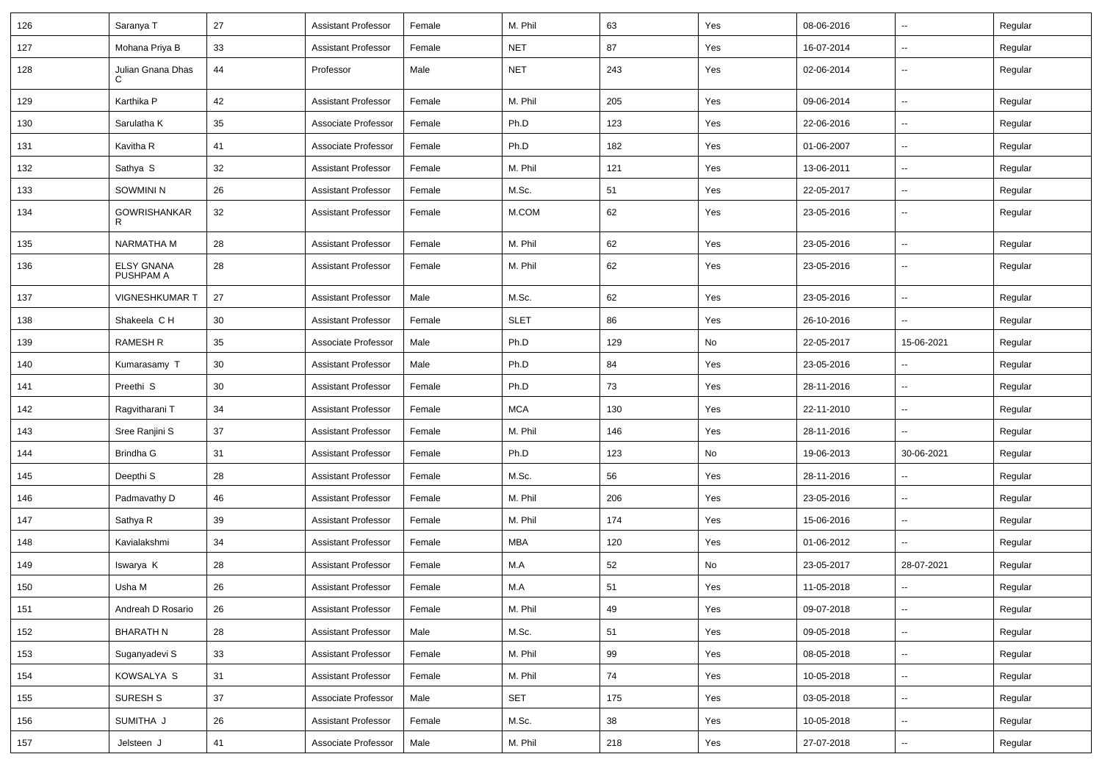| 126 | Saranya T                         | 27 | <b>Assistant Professor</b> | Female | M. Phil     | 63  | Yes | 08-06-2016 | $\overline{\phantom{a}}$ | Regular |
|-----|-----------------------------------|----|----------------------------|--------|-------------|-----|-----|------------|--------------------------|---------|
| 127 | Mohana Priya B                    | 33 | <b>Assistant Professor</b> | Female | <b>NET</b>  | 87  | Yes | 16-07-2014 | --                       | Regular |
| 128 | Julian Gnana Dhas<br>$\mathsf{C}$ | 44 | Professor                  | Male   | <b>NET</b>  | 243 | Yes | 02-06-2014 | $\overline{\phantom{a}}$ | Regular |
| 129 | Karthika P                        | 42 | <b>Assistant Professor</b> | Female | M. Phil     | 205 | Yes | 09-06-2014 | $\overline{\phantom{a}}$ | Regular |
| 130 | Sarulatha K                       | 35 | Associate Professor        | Female | Ph.D        | 123 | Yes | 22-06-2016 | $\overline{\phantom{a}}$ | Regular |
| 131 | Kavitha R                         | 41 | Associate Professor        | Female | Ph.D        | 182 | Yes | 01-06-2007 | --                       | Regular |
| 132 | Sathya S                          | 32 | <b>Assistant Professor</b> | Female | M. Phil     | 121 | Yes | 13-06-2011 | $\overline{\phantom{a}}$ | Regular |
| 133 | <b>SOWMINI N</b>                  | 26 | <b>Assistant Professor</b> | Female | M.Sc.       | 51  | Yes | 22-05-2017 | --                       | Regular |
| 134 | <b>GOWRISHANKAR</b><br>R          | 32 | <b>Assistant Professor</b> | Female | M.COM       | 62  | Yes | 23-05-2016 | $\overline{\phantom{a}}$ | Regular |
| 135 | <b>NARMATHA M</b>                 | 28 | <b>Assistant Professor</b> | Female | M. Phil     | 62  | Yes | 23-05-2016 | --                       | Regular |
| 136 | <b>ELSY GNANA</b><br>PUSHPAM A    | 28 | <b>Assistant Professor</b> | Female | M. Phil     | 62  | Yes | 23-05-2016 | $\overline{\phantom{a}}$ | Regular |
| 137 | <b>VIGNESHKUMAR T</b>             | 27 | <b>Assistant Professor</b> | Male   | M.Sc.       | 62  | Yes | 23-05-2016 | $\overline{\phantom{a}}$ | Regular |
| 138 | Shakeela C H                      | 30 | <b>Assistant Professor</b> | Female | <b>SLET</b> | 86  | Yes | 26-10-2016 | $\overline{a}$           | Regular |
| 139 | <b>RAMESH R</b>                   | 35 | Associate Professor        | Male   | Ph.D        | 129 | No  | 22-05-2017 | 15-06-2021               | Regular |
| 140 | Kumarasamy T                      | 30 | <b>Assistant Professor</b> | Male   | Ph.D        | 84  | Yes | 23-05-2016 | $\overline{\phantom{a}}$ | Regular |
| 141 | Preethi <sub>S</sub>              | 30 | <b>Assistant Professor</b> | Female | Ph.D        | 73  | Yes | 28-11-2016 | ⊷.                       | Regular |
| 142 | Ragvitharani T                    | 34 | <b>Assistant Professor</b> | Female | <b>MCA</b>  | 130 | Yes | 22-11-2010 | --                       | Regular |
| 143 | Sree Ranjini S                    | 37 | <b>Assistant Professor</b> | Female | M. Phil     | 146 | Yes | 28-11-2016 | $\overline{\phantom{a}}$ | Regular |
| 144 | Brindha G                         | 31 | <b>Assistant Professor</b> | Female | Ph.D        | 123 | No  | 19-06-2013 | 30-06-2021               | Regular |
| 145 | Deepthi <sub>S</sub>              | 28 | <b>Assistant Professor</b> | Female | M.Sc.       | 56  | Yes | 28-11-2016 |                          | Regular |
| 146 | Padmavathy D                      | 46 | <b>Assistant Professor</b> | Female | M. Phil     | 206 | Yes | 23-05-2016 | $\overline{\phantom{a}}$ | Regular |
| 147 | Sathya R                          | 39 | <b>Assistant Professor</b> | Female | M. Phil     | 174 | Yes | 15-06-2016 | ⊷.                       | Regular |
| 148 | Kavialakshmi                      | 34 | <b>Assistant Professor</b> | Female | <b>MBA</b>  | 120 | Yes | 01-06-2012 | --                       | Regular |
| 149 | Iswarya K                         | 28 | <b>Assistant Professor</b> | Female | M.A         | 52  | No  | 23-05-2017 | 28-07-2021               | Regular |
| 150 | Usha M                            | 26 | <b>Assistant Professor</b> | Female | M.A         | 51  | Yes | 11-05-2018 |                          | Regular |
| 151 | Andreah D Rosario                 | 26 | <b>Assistant Professor</b> | Female | M. Phil     | 49  | Yes | 09-07-2018 | Ξ.                       | Regular |
| 152 | <b>BHARATH N</b>                  | 28 | <b>Assistant Professor</b> | Male   | M.Sc.       | 51  | Yes | 09-05-2018 | $\sim$                   | Regular |
| 153 | Suganyadevi S                     | 33 | <b>Assistant Professor</b> | Female | M. Phil     | 99  | Yes | 08-05-2018 | $\sim$                   | Regular |
| 154 | KOWSALYA S                        | 31 | <b>Assistant Professor</b> | Female | M. Phil     | 74  | Yes | 10-05-2018 | $\sim$                   | Regular |
| 155 | SURESH S                          | 37 | Associate Professor        | Male   | SET         | 175 | Yes | 03-05-2018 | н.                       | Regular |
| 156 | SUMITHA J                         | 26 | <b>Assistant Professor</b> | Female | M.Sc.       | 38  | Yes | 10-05-2018 | ⊷.                       | Regular |
| 157 | Jelsteen J                        | 41 | Associate Professor        | Male   | M. Phil     | 218 | Yes | 27-07-2018 | $\overline{\phantom{a}}$ | Regular |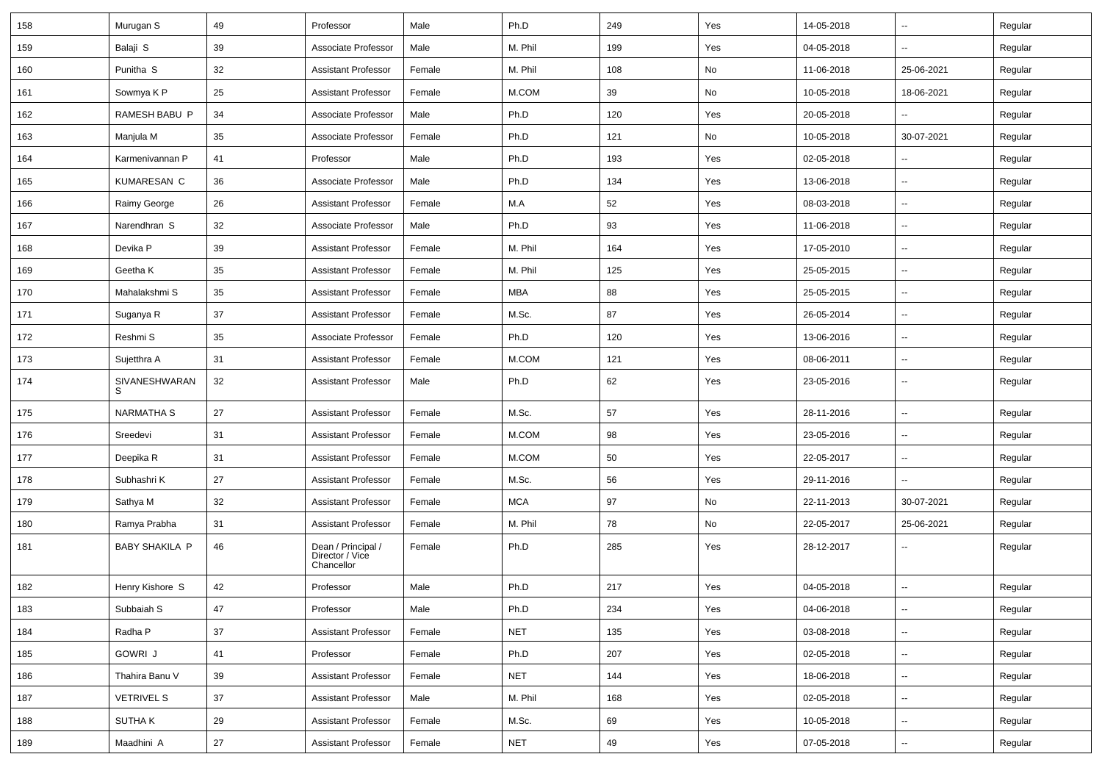| 158 | Murugan S             | 49     | Professor                                           | Male   | Ph.D       | 249 | Yes | 14-05-2018 | $\overline{\phantom{a}}$ | Regular |
|-----|-----------------------|--------|-----------------------------------------------------|--------|------------|-----|-----|------------|--------------------------|---------|
| 159 | Balaji S              | 39     | Associate Professor                                 | Male   | M. Phil    | 199 | Yes | 04-05-2018 | $\mathbf{u}$             | Regular |
| 160 | Punitha <sub>S</sub>  | 32     | <b>Assistant Professor</b>                          | Female | M. Phil    | 108 | No  | 11-06-2018 | 25-06-2021               | Regular |
| 161 | Sowmya K P            | 25     | <b>Assistant Professor</b>                          | Female | M.COM      | 39  | No  | 10-05-2018 | 18-06-2021               | Regular |
| 162 | RAMESH BABU P         | 34     | Associate Professor                                 | Male   | Ph.D       | 120 | Yes | 20-05-2018 |                          | Regular |
| 163 | Manjula M             | 35     | Associate Professor                                 | Female | Ph.D       | 121 | No  | 10-05-2018 | 30-07-2021               | Regular |
| 164 | Karmenivannan P       | 41     | Professor                                           | Male   | Ph.D       | 193 | Yes | 02-05-2018 | Ξ.                       | Regular |
| 165 | KUMARESAN C           | 36     | Associate Professor                                 | Male   | Ph.D       | 134 | Yes | 13-06-2018 | $\sim$                   | Regular |
| 166 | Raimy George          | 26     | <b>Assistant Professor</b>                          | Female | M.A        | 52  | Yes | 08-03-2018 | -−                       | Regular |
| 167 | Narendhran S          | 32     | Associate Professor                                 | Male   | Ph.D       | 93  | Yes | 11-06-2018 | -−                       | Regular |
| 168 | Devika P              | 39     | <b>Assistant Professor</b>                          | Female | M. Phil    | 164 | Yes | 17-05-2010 | $\overline{\phantom{a}}$ | Regular |
| 169 | Geetha K              | 35     | <b>Assistant Professor</b>                          | Female | M. Phil    | 125 | Yes | 25-05-2015 | $\overline{\phantom{a}}$ | Regular |
| 170 | Mahalakshmi S         | 35     | <b>Assistant Professor</b>                          | Female | <b>MBA</b> | 88  | Yes | 25-05-2015 | Ξ.                       | Regular |
| 171 | Suganya R             | 37     | <b>Assistant Professor</b>                          | Female | M.Sc.      | 87  | Yes | 26-05-2014 | $\sim$                   | Regular |
| 172 | Reshmi S              | 35     | Associate Professor                                 | Female | Ph.D       | 120 | Yes | 13-06-2016 | -−                       | Regular |
| 173 | Sujetthra A           | 31     | <b>Assistant Professor</b>                          | Female | M.COM      | 121 | Yes | 08-06-2011 | н.                       | Regular |
| 174 | SIVANESHWARAN<br>S    | 32     | <b>Assistant Professor</b>                          | Male   | Ph.D       | 62  | Yes | 23-05-2016 | --                       | Regular |
| 175 | <b>NARMATHA S</b>     | 27     | <b>Assistant Professor</b>                          | Female | M.Sc.      | 57  | Yes | 28-11-2016 | $\overline{\phantom{a}}$ | Regular |
| 176 | Sreedevi              | 31     | <b>Assistant Professor</b>                          | Female | M.COM      | 98  | Yes | 23-05-2016 | -−                       | Regular |
| 177 | Deepika R             | 31     | <b>Assistant Professor</b>                          | Female | M.COM      | 50  | Yes | 22-05-2017 | $\sim$                   | Regular |
| 178 | Subhashri K           | 27     | <b>Assistant Professor</b>                          | Female | M.Sc.      | 56  | Yes | 29-11-2016 | $\sim$                   | Regular |
| 179 | Sathya M              | 32     | <b>Assistant Professor</b>                          | Female | <b>MCA</b> | 97  | No  | 22-11-2013 | 30-07-2021               | Regular |
| 180 | Ramya Prabha          | 31     | <b>Assistant Professor</b>                          | Female | M. Phil    | 78  | No  | 22-05-2017 | 25-06-2021               | Regular |
| 181 | <b>BABY SHAKILA P</b> | 46     | Dean / Principal /<br>Director / Vice<br>Chancellor | Female | Ph.D       | 285 | Yes | 28-12-2017 | -−                       | Regular |
| 182 | Henry Kishore S       | 42     | Professor                                           | Male   | Ph.D       | 217 | Yes | 04-05-2018 |                          | Regular |
| 183 | Subbaiah S            | $47\,$ | Professor                                           | Male   | Ph.D       | 234 | Yes | 04-06-2018 | Ц.                       | Regular |
| 184 | Radha P               | 37     | <b>Assistant Professor</b>                          | Female | <b>NET</b> | 135 | Yes | 03-08-2018 | $\sim$                   | Regular |
| 185 | GOWRI J               | 41     | Professor                                           | Female | Ph.D       | 207 | Yes | 02-05-2018 | н.                       | Regular |
| 186 | Thahira Banu V        | 39     | <b>Assistant Professor</b>                          | Female | <b>NET</b> | 144 | Yes | 18-06-2018 | $\overline{\phantom{a}}$ | Regular |
| 187 | <b>VETRIVEL S</b>     | 37     | <b>Assistant Professor</b>                          | Male   | M. Phil    | 168 | Yes | 02-05-2018 | $\sim$                   | Regular |
| 188 | SUTHA K               | 29     | <b>Assistant Professor</b>                          | Female | M.Sc.      | 69  | Yes | 10-05-2018 | $\sim$                   | Regular |
| 189 | Maadhini A            | 27     | <b>Assistant Professor</b>                          | Female | <b>NET</b> | 49  | Yes | 07-05-2018 | $\sim$                   | Regular |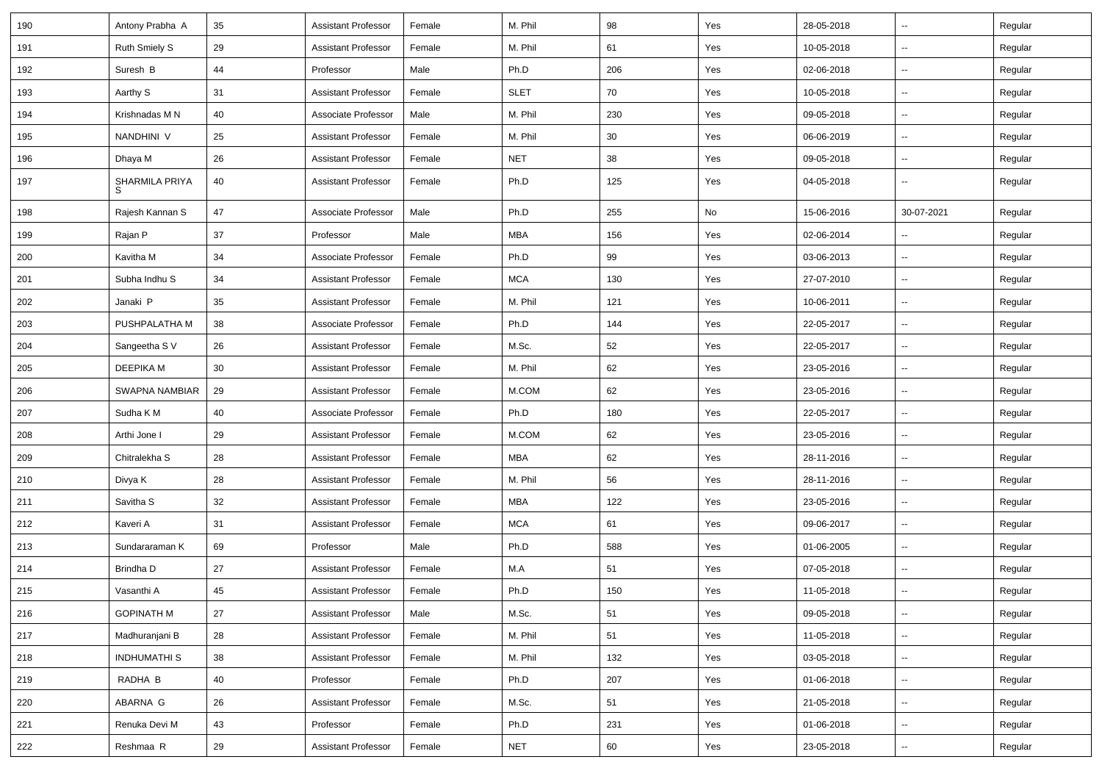| 190 | Antony Prabha A     | 35 | <b>Assistant Professor</b> | Female | M. Phil     | 98  | Yes | 28-05-2018 | $\sim$                   | Regular |
|-----|---------------------|----|----------------------------|--------|-------------|-----|-----|------------|--------------------------|---------|
| 191 | Ruth Smiely S       | 29 | <b>Assistant Professor</b> | Female | M. Phil     | 61  | Yes | 10-05-2018 | ⊷.                       | Regular |
| 192 | Suresh B            | 44 | Professor                  | Male   | Ph.D        | 206 | Yes | 02-06-2018 | $\overline{\phantom{a}}$ | Regular |
| 193 | Aarthy S            | 31 | <b>Assistant Professor</b> | Female | <b>SLET</b> | 70  | Yes | 10-05-2018 | --                       | Regular |
| 194 | Krishnadas M N      | 40 | Associate Professor        | Male   | M. Phil     | 230 | Yes | 09-05-2018 | $\overline{\phantom{a}}$ | Regular |
| 195 | NANDHINI V          | 25 | <b>Assistant Professor</b> | Female | M. Phil     | 30  | Yes | 06-06-2019 | $\overline{\phantom{a}}$ | Regular |
| 196 | Dhaya M             | 26 | <b>Assistant Professor</b> | Female | <b>NET</b>  | 38  | Yes | 09-05-2018 | $\overline{\phantom{a}}$ | Regular |
| 197 | SHARMILA PRIYA      | 40 | <b>Assistant Professor</b> | Female | Ph.D        | 125 | Yes | 04-05-2018 | $\sim$                   | Regular |
| 198 | Rajesh Kannan S     | 47 | Associate Professor        | Male   | Ph.D        | 255 | No  | 15-06-2016 | 30-07-2021               | Regular |
| 199 | Rajan P             | 37 | Professor                  | Male   | <b>MBA</b>  | 156 | Yes | 02-06-2014 | $\sim$                   | Regular |
| 200 | Kavitha M           | 34 | Associate Professor        | Female | Ph.D        | 99  | Yes | 03-06-2013 | --                       | Regular |
| 201 | Subha Indhu S       | 34 | <b>Assistant Professor</b> | Female | <b>MCA</b>  | 130 | Yes | 27-07-2010 | $\overline{\phantom{a}}$ | Regular |
| 202 | Janaki P            | 35 | <b>Assistant Professor</b> | Female | M. Phil     | 121 | Yes | 10-06-2011 | $\sim$                   | Regular |
| 203 | PUSHPALATHA M       | 38 | Associate Professor        | Female | Ph.D        | 144 | Yes | 22-05-2017 | $\sim$                   | Regular |
| 204 | Sangeetha S V       | 26 | <b>Assistant Professor</b> | Female | M.Sc.       | 52  | Yes | 22-05-2017 | $\sim$                   | Regular |
| 205 | DEEPIKA M           | 30 | <b>Assistant Professor</b> | Female | M. Phil     | 62  | Yes | 23-05-2016 | $\overline{\phantom{a}}$ | Regular |
| 206 | SWAPNA NAMBIAR      | 29 | <b>Assistant Professor</b> | Female | M.COM       | 62  | Yes | 23-05-2016 | --                       | Regular |
| 207 | Sudha K M           | 40 | Associate Professor        | Female | Ph.D        | 180 | Yes | 22-05-2017 | $\overline{\phantom{a}}$ | Regular |
| 208 | Arthi Jone I        | 29 | <b>Assistant Professor</b> | Female | M.COM       | 62  | Yes | 23-05-2016 | $\overline{\phantom{a}}$ | Regular |
| 209 | Chitralekha S       | 28 | <b>Assistant Professor</b> | Female | <b>MBA</b>  | 62  | Yes | 28-11-2016 | $\sim$                   | Regular |
| 210 | Divya K             | 28 | <b>Assistant Professor</b> | Female | M. Phil     | 56  | Yes | 28-11-2016 | $\sim$                   | Regular |
| 211 | Savitha S           | 32 | <b>Assistant Professor</b> | Female | <b>MBA</b>  | 122 | Yes | 23-05-2016 | --                       | Regular |
| 212 | Kaveri A            | 31 | <b>Assistant Professor</b> | Female | <b>MCA</b>  | 61  | Yes | 09-06-2017 | --                       | Regular |
| 213 | Sundararaman K      | 69 | Professor                  | Male   | Ph.D        | 588 | Yes | 01-06-2005 | $\overline{\phantom{a}}$ | Regular |
| 214 | Brindha D           | 27 | <b>Assistant Professor</b> | Female | M.A         | 51  | Yes | 07-05-2018 | $\overline{\phantom{a}}$ | Regular |
| 215 | Vasanthi A          | 45 | <b>Assistant Professor</b> | Female | Ph.D        | 150 | Yes | 11-05-2018 | Ξ.                       | Regular |
| 216 | <b>GOPINATH M</b>   | 27 | <b>Assistant Professor</b> | Male   | M.Sc.       | 51  | Yes | 09-05-2018 | $\overline{\phantom{a}}$ | Regular |
| 217 | Madhuranjani B      | 28 | <b>Assistant Professor</b> | Female | M. Phil     | 51  | Yes | 11-05-2018 | щ.                       | Regular |
| 218 | <b>INDHUMATHI S</b> | 38 | <b>Assistant Professor</b> | Female | M. Phil     | 132 | Yes | 03-05-2018 | $\overline{\phantom{a}}$ | Regular |
| 219 | RADHA B             | 40 | Professor                  | Female | Ph.D        | 207 | Yes | 01-06-2018 | $\overline{\phantom{a}}$ | Regular |
| 220 | ABARNA G            | 26 | <b>Assistant Professor</b> | Female | M.Sc.       | 51  | Yes | 21-05-2018 | Ξ.                       | Regular |
| 221 | Renuka Devi M       | 43 | Professor                  | Female | Ph.D        | 231 | Yes | 01-06-2018 | $\overline{\phantom{a}}$ | Regular |
| 222 | Reshmaa R           | 29 | <b>Assistant Professor</b> | Female | <b>NET</b>  | 60  | Yes | 23-05-2018 | $\overline{\phantom{a}}$ | Regular |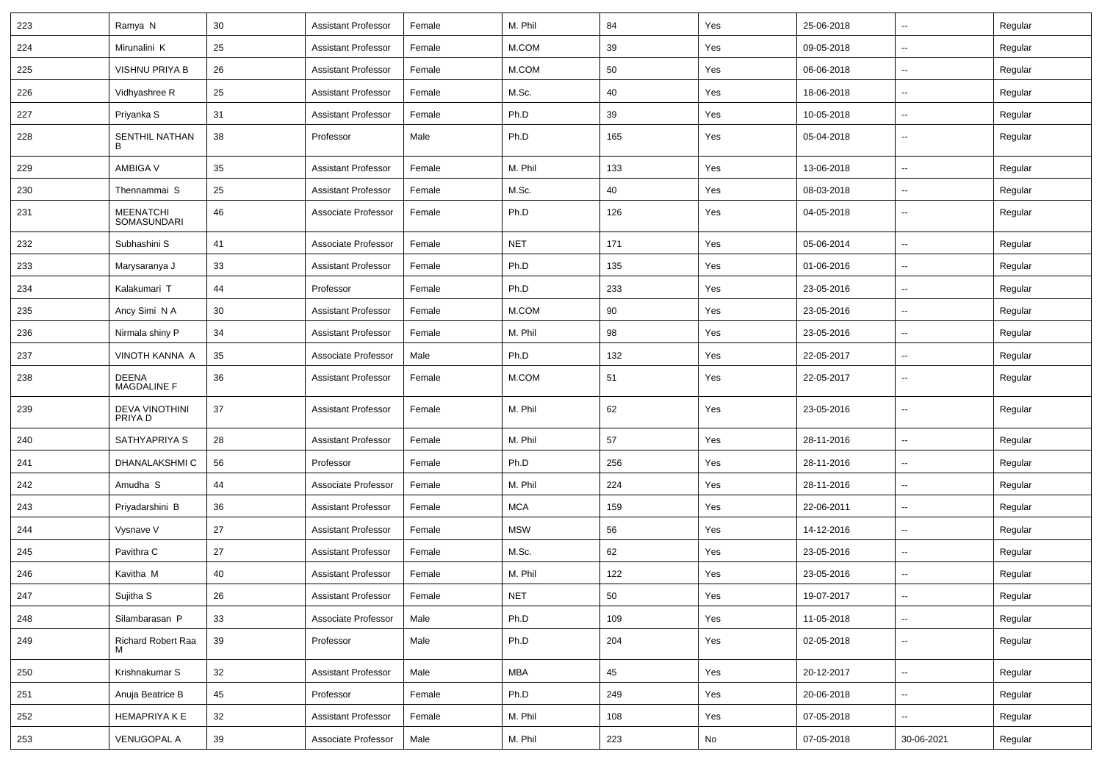| 223 | Ramya N                            | 30 | <b>Assistant Professor</b> | Female | M. Phil    | 84  | Yes | 25-06-2018 | $\overline{\phantom{a}}$ | Regular |
|-----|------------------------------------|----|----------------------------|--------|------------|-----|-----|------------|--------------------------|---------|
| 224 | Mirunalini K                       | 25 | <b>Assistant Professor</b> | Female | M.COM      | 39  | Yes | 09-05-2018 | ⊷.                       | Regular |
| 225 | VISHNU PRIYA B                     | 26 | <b>Assistant Professor</b> | Female | M.COM      | 50  | Yes | 06-06-2018 | $\overline{\phantom{a}}$ | Regular |
| 226 | Vidhyashree R                      | 25 | <b>Assistant Professor</b> | Female | M.Sc.      | 40  | Yes | 18-06-2018 | --                       | Regular |
| 227 | Priyanka S                         | 31 | <b>Assistant Professor</b> | Female | Ph.D       | 39  | Yes | 10-05-2018 | -−                       | Regular |
| 228 | SENTHIL NATHAN<br>B                | 38 | Professor                  | Male   | Ph.D       | 165 | Yes | 05-04-2018 | $\overline{\phantom{a}}$ | Regular |
| 229 | <b>AMBIGA V</b>                    | 35 | <b>Assistant Professor</b> | Female | M. Phil    | 133 | Yes | 13-06-2018 | $\overline{\phantom{a}}$ | Regular |
| 230 | Thennammai S                       | 25 | <b>Assistant Professor</b> | Female | M.Sc.      | 40  | Yes | 08-03-2018 | $\overline{\phantom{a}}$ | Regular |
| 231 | <b>MEENATCHI</b><br>SOMASUNDARI    | 46 | Associate Professor        | Female | Ph.D       | 126 | Yes | 04-05-2018 | $\overline{\phantom{a}}$ | Regular |
| 232 | Subhashini S                       | 41 | Associate Professor        | Female | <b>NET</b> | 171 | Yes | 05-06-2014 | ⊷.                       | Regular |
| 233 | Marysaranya J                      | 33 | <b>Assistant Professor</b> | Female | Ph.D       | 135 | Yes | 01-06-2016 | $\overline{\phantom{a}}$ | Regular |
| 234 | Kalakumari T                       | 44 | Professor                  | Female | Ph.D       | 233 | Yes | 23-05-2016 | --                       | Regular |
| 235 | Ancy Simi N A                      | 30 | <b>Assistant Professor</b> | Female | M.COM      | 90  | Yes | 23-05-2016 | $\overline{\phantom{a}}$ | Regular |
| 236 | Nirmala shiny P                    | 34 | <b>Assistant Professor</b> | Female | M. Phil    | 98  | Yes | 23-05-2016 | $\sim$                   | Regular |
| 237 | VINOTH KANNA A                     | 35 | Associate Professor        | Male   | Ph.D       | 132 | Yes | 22-05-2017 | $\overline{\phantom{a}}$ | Regular |
| 238 | <b>DEENA</b><br><b>MAGDALINE F</b> | 36 | <b>Assistant Professor</b> | Female | M.COM      | 51  | Yes | 22-05-2017 | $\overline{\phantom{a}}$ | Regular |
| 239 | <b>DEVA VINOTHINI</b><br>PRIYA D   | 37 | <b>Assistant Professor</b> | Female | M. Phil    | 62  | Yes | 23-05-2016 | ⊷.                       | Regular |
| 240 | SATHYAPRIYA S                      | 28 | <b>Assistant Professor</b> | Female | M. Phil    | 57  | Yes | 28-11-2016 | ⊷.                       | Regular |
| 241 | DHANALAKSHMI C                     | 56 | Professor                  | Female | Ph.D       | 256 | Yes | 28-11-2016 | --                       | Regular |
| 242 | Amudha <sub>S</sub>                | 44 | Associate Professor        | Female | M. Phil    | 224 | Yes | 28-11-2016 | $\overline{\phantom{a}}$ | Regular |
| 243 | Priyadarshini B                    | 36 | <b>Assistant Professor</b> | Female | <b>MCA</b> | 159 | Yes | 22-06-2011 | $\overline{\phantom{a}}$ | Regular |
| 244 | Vysnave V                          | 27 | <b>Assistant Professor</b> | Female | <b>MSW</b> | 56  | Yes | 14-12-2016 | $\overline{\phantom{a}}$ | Regular |
| 245 | Pavithra C                         | 27 | <b>Assistant Professor</b> | Female | M.Sc.      | 62  | Yes | 23-05-2016 | $\overline{\phantom{a}}$ | Regular |
| 246 | Kavitha M                          | 40 | <b>Assistant Professor</b> | Female | M. Phil    | 122 | Yes | 23-05-2016 | $\overline{\phantom{a}}$ | Regular |
| 247 | Sujitha <sub>S</sub>               | 26 | <b>Assistant Professor</b> | Female | <b>NET</b> | 50  | Yes | 19-07-2017 | $\overline{\phantom{a}}$ | Regular |
| 248 | Silambarasan P                     | 33 | Associate Professor        | Male   | Ph.D       | 109 | Yes | 11-05-2018 | $\sim$                   | Regular |
| 249 | Richard Robert Raa<br>м            | 39 | Professor                  | Male   | Ph.D       | 204 | Yes | 02-05-2018 | $\overline{\phantom{a}}$ | Regular |
| 250 | Krishnakumar S                     | 32 | <b>Assistant Professor</b> | Male   | <b>MBA</b> | 45  | Yes | 20-12-2017 | $\sim$                   | Regular |
| 251 | Anuja Beatrice B                   | 45 | Professor                  | Female | Ph.D       | 249 | Yes | 20-06-2018 | Щ,                       | Regular |
| 252 | <b>HEMAPRIYA K E</b>               | 32 | <b>Assistant Professor</b> | Female | M. Phil    | 108 | Yes | 07-05-2018 | $\sim$                   | Regular |
| 253 | VENUGOPAL A                        | 39 | Associate Professor        | Male   | M. Phil    | 223 | No  | 07-05-2018 | 30-06-2021               | Regular |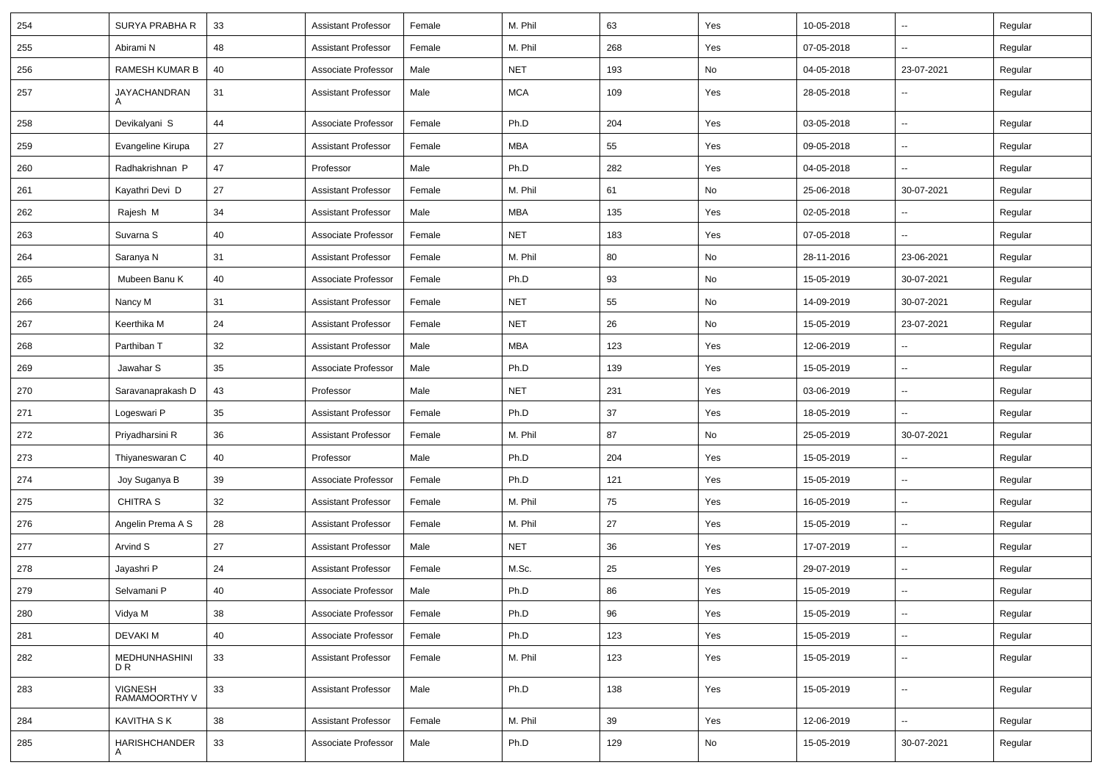| 254 | SURYA PRABHA R           | 33 | <b>Assistant Professor</b> | Female | M. Phil    | 63  | Yes | 10-05-2018 | $\overline{\phantom{a}}$ | Regular |
|-----|--------------------------|----|----------------------------|--------|------------|-----|-----|------------|--------------------------|---------|
| 255 | Abirami N                | 48 | <b>Assistant Professor</b> | Female | M. Phil    | 268 | Yes | 07-05-2018 | -−                       | Regular |
| 256 | RAMESH KUMAR B           | 40 | Associate Professor        | Male   | <b>NET</b> | 193 | No  | 04-05-2018 | 23-07-2021               | Regular |
| 257 | JAYACHANDRAN             | 31 | <b>Assistant Professor</b> | Male   | <b>MCA</b> | 109 | Yes | 28-05-2018 | --                       | Regular |
| 258 | Devikalyani S            | 44 | Associate Professor        | Female | Ph.D       | 204 | Yes | 03-05-2018 | Ξ.                       | Regular |
| 259 | Evangeline Kirupa        | 27 | <b>Assistant Professor</b> | Female | <b>MBA</b> | 55  | Yes | 09-05-2018 | -−                       | Regular |
| 260 | Radhakrishnan P          | 47 | Professor                  | Male   | Ph.D       | 282 | Yes | 04-05-2018 | Ξ.                       | Regular |
| 261 | Kayathri Devi D          | 27 | <b>Assistant Professor</b> | Female | M. Phil    | 61  | No  | 25-06-2018 | 30-07-2021               | Regular |
| 262 | Rajesh M                 | 34 | <b>Assistant Professor</b> | Male   | <b>MBA</b> | 135 | Yes | 02-05-2018 | $\overline{\phantom{a}}$ | Regular |
| 263 | Suvarna S                | 40 | Associate Professor        | Female | <b>NET</b> | 183 | Yes | 07-05-2018 | ш,                       | Regular |
| 264 | Saranya N                | 31 | <b>Assistant Professor</b> | Female | M. Phil    | 80  | No  | 28-11-2016 | 23-06-2021               | Regular |
| 265 | Mubeen Banu K            | 40 | Associate Professor        | Female | Ph.D       | 93  | No  | 15-05-2019 | 30-07-2021               | Regular |
| 266 | Nancy M                  | 31 | <b>Assistant Professor</b> | Female | <b>NET</b> | 55  | No  | 14-09-2019 | 30-07-2021               | Regular |
| 267 | Keerthika M              | 24 | <b>Assistant Professor</b> | Female | <b>NET</b> | 26  | No  | 15-05-2019 | 23-07-2021               | Regular |
| 268 | Parthiban T              | 32 | <b>Assistant Professor</b> | Male   | <b>MBA</b> | 123 | Yes | 12-06-2019 | $\sim$                   | Regular |
| 269 | Jawahar S                | 35 | Associate Professor        | Male   | Ph.D       | 139 | Yes | 15-05-2019 | ш,                       | Regular |
| 270 | Saravanaprakash D        | 43 | Professor                  | Male   | <b>NET</b> | 231 | Yes | 03-06-2019 | $\overline{\phantom{a}}$ | Regular |
| 271 | Logeswari P              | 35 | <b>Assistant Professor</b> | Female | Ph.D       | 37  | Yes | 18-05-2019 |                          | Regular |
| 272 | Priyadharsini R          | 36 | <b>Assistant Professor</b> | Female | M. Phil    | 87  | No  | 25-05-2019 | 30-07-2021               | Regular |
| 273 | Thiyaneswaran C          | 40 | Professor                  | Male   | Ph.D       | 204 | Yes | 15-05-2019 | $\overline{\phantom{a}}$ | Regular |
| 274 | Joy Suganya B            | 39 | Associate Professor        | Female | Ph.D       | 121 | Yes | 15-05-2019 | --                       | Regular |
| 275 | CHITRA S                 | 32 | <b>Assistant Professor</b> | Female | M. Phil    | 75  | Yes | 16-05-2019 | Ξ.                       | Regular |
| 276 | Angelin Prema A S        | 28 | <b>Assistant Professor</b> | Female | M. Phil    | 27  | Yes | 15-05-2019 | --                       | Regular |
| 277 | Arvind S                 | 27 | <b>Assistant Professor</b> | Male   | <b>NET</b> | 36  | Yes | 17-07-2019 | --                       | Regular |
| 278 | Jayashri P               | 24 | <b>Assistant Professor</b> | Female | M.Sc.      | 25  | Yes | 29-07-2019 | Щ,                       | Regular |
| 279 | Selvamani P              | 40 | Associate Professor        | Male   | Ph.D       | 86  | Yes | 15-05-2019 | ш,                       | Regular |
| 280 | Vidya M                  | 38 | Associate Professor        | Female | Ph.D       | 96  | Yes | 15-05-2019 | $\overline{\phantom{a}}$ | Regular |
| 281 | <b>DEVAKIM</b>           | 40 | Associate Professor        | Female | Ph.D       | 123 | Yes | 15-05-2019 | Ξ.                       | Regular |
| 282 | MEDHUNHASHINI<br>DR.     | 33 | <b>Assistant Professor</b> | Female | M. Phil    | 123 | Yes | 15-05-2019 | $\overline{\phantom{a}}$ | Regular |
| 283 | VIGNESH<br>RAMAMOORTHY V | 33 | <b>Assistant Professor</b> | Male   | Ph.D       | 138 | Yes | 15-05-2019 | $\sim$                   | Regular |
| 284 | <b>KAVITHA S K</b>       | 38 | <b>Assistant Professor</b> | Female | M. Phil    | 39  | Yes | 12-06-2019 | $\overline{\phantom{a}}$ | Regular |
| 285 | HARISHCHANDER<br>A       | 33 | Associate Professor        | Male   | Ph.D       | 129 | No  | 15-05-2019 | 30-07-2021               | Regular |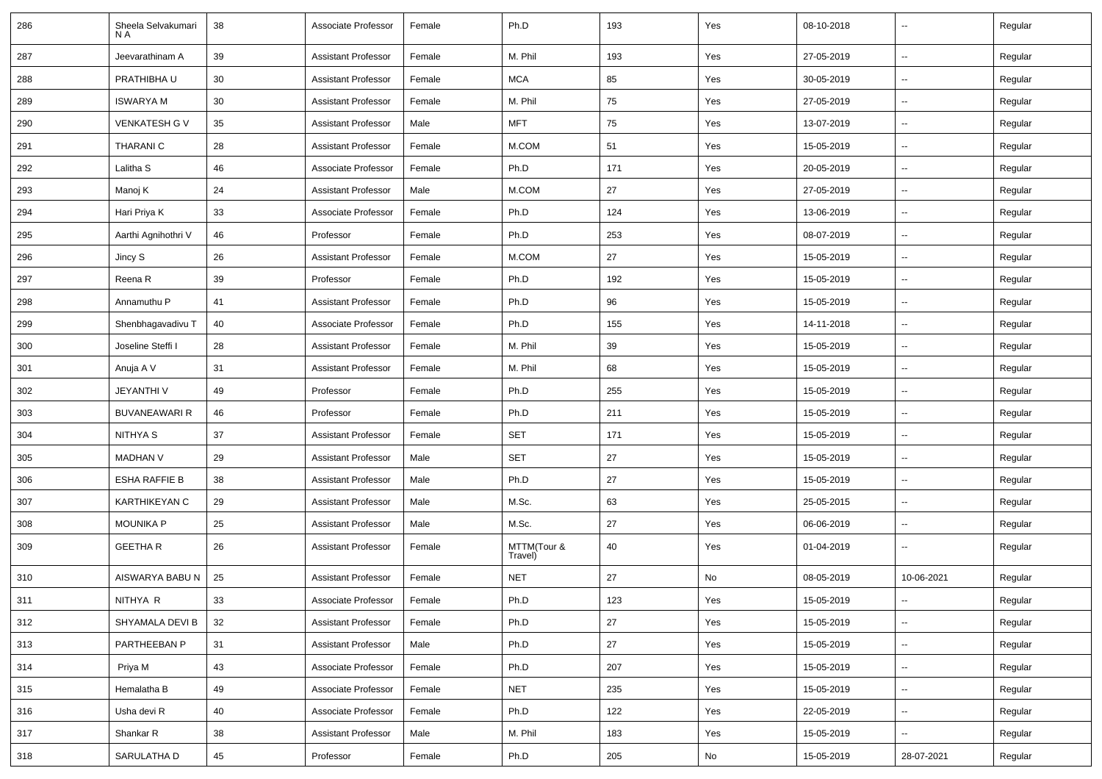| 286 | Sheela Selvakumari<br>N A | 38 | Associate Professor        | Female | Ph.D                   | 193 | Yes | 08-10-2018 | $\overline{\phantom{a}}$ | Regular |
|-----|---------------------------|----|----------------------------|--------|------------------------|-----|-----|------------|--------------------------|---------|
| 287 | Jeevarathinam A           | 39 | <b>Assistant Professor</b> | Female | M. Phil                | 193 | Yes | 27-05-2019 | $\sim$                   | Regular |
| 288 | PRATHIBHA U               | 30 | <b>Assistant Professor</b> | Female | <b>MCA</b>             | 85  | Yes | 30-05-2019 | н.                       | Regular |
| 289 | <b>ISWARYA M</b>          | 30 | <b>Assistant Professor</b> | Female | M. Phil                | 75  | Yes | 27-05-2019 | $\overline{\phantom{a}}$ | Regular |
| 290 | <b>VENKATESH G V</b>      | 35 | <b>Assistant Professor</b> | Male   | <b>MFT</b>             | 75  | Yes | 13-07-2019 | $\overline{\phantom{a}}$ | Regular |
| 291 | <b>THARANIC</b>           | 28 | <b>Assistant Professor</b> | Female | M.COM                  | 51  | Yes | 15-05-2019 | $\overline{\phantom{a}}$ | Regular |
| 292 | Lalitha S                 | 46 | Associate Professor        | Female | Ph.D                   | 171 | Yes | 20-05-2019 | Ξ.                       | Regular |
| 293 | Manoj K                   | 24 | <b>Assistant Professor</b> | Male   | M.COM                  | 27  | Yes | 27-05-2019 | $\sim$                   | Regular |
| 294 | Hari Priya K              | 33 | Associate Professor        | Female | Ph.D                   | 124 | Yes | 13-06-2019 | ⊷.                       | Regular |
| 295 | Aarthi Agnihothri V       | 46 | Professor                  | Female | Ph.D                   | 253 | Yes | 08-07-2019 | Ξ.                       | Regular |
| 296 | Jincy S                   | 26 | <b>Assistant Professor</b> | Female | M.COM                  | 27  | Yes | 15-05-2019 | $\overline{\phantom{a}}$ | Regular |
| 297 | Reena R                   | 39 | Professor                  | Female | Ph.D                   | 192 | Yes | 15-05-2019 | -−                       | Regular |
| 298 | Annamuthu P               | 41 | <b>Assistant Professor</b> | Female | Ph.D                   | 96  | Yes | 15-05-2019 | $\sim$                   | Regular |
| 299 | Shenbhagavadivu T         | 40 | Associate Professor        | Female | Ph.D                   | 155 | Yes | 14-11-2018 | н.                       | Regular |
| 300 | Joseline Steffi I         | 28 | <b>Assistant Professor</b> | Female | M. Phil                | 39  | Yes | 15-05-2019 | ⊷.                       | Regular |
| 301 | Anuja A V                 | 31 | <b>Assistant Professor</b> | Female | M. Phil                | 68  | Yes | 15-05-2019 | -−                       | Regular |
| 302 | <b>JEYANTHI V</b>         | 49 | Professor                  | Female | Ph.D                   | 255 | Yes | 15-05-2019 | $\overline{\phantom{a}}$ | Regular |
| 303 | <b>BUVANEAWARI R</b>      | 46 | Professor                  | Female | Ph.D                   | 211 | Yes | 15-05-2019 | -−                       | Regular |
| 304 | <b>NITHYA S</b>           | 37 | <b>Assistant Professor</b> | Female | <b>SET</b>             | 171 | Yes | 15-05-2019 | Ξ.                       | Regular |
| 305 | <b>MADHAN V</b>           | 29 | <b>Assistant Professor</b> | Male   | <b>SET</b>             | 27  | Yes | 15-05-2019 | $\sim$                   | Regular |
| 306 | <b>ESHA RAFFIE B</b>      | 38 | <b>Assistant Professor</b> | Male   | Ph.D                   | 27  | Yes | 15-05-2019 | -−                       | Regular |
| 307 | KARTHIKEYAN C             | 29 | <b>Assistant Professor</b> | Male   | M.Sc.                  | 63  | Yes | 25-05-2015 | $\sim$                   | Regular |
| 308 | <b>MOUNIKA P</b>          | 25 | <b>Assistant Professor</b> | Male   | M.Sc.                  | 27  | Yes | 06-06-2019 | $\overline{\phantom{a}}$ | Regular |
| 309 | <b>GEETHAR</b>            | 26 | <b>Assistant Professor</b> | Female | MTTM(Tour &<br>Travel) | 40  | Yes | 01-04-2019 | --                       | Regular |
| 310 | AISWARYA BABU N           | 25 | <b>Assistant Professor</b> | Female | <b>NET</b>             | 27  | No  | 08-05-2019 | 10-06-2021               | Regular |
| 311 | NITHYA R                  | 33 | Associate Professor        | Female | Ph.D                   | 123 | Yes | 15-05-2019 |                          | Regular |
| 312 | SHYAMALA DEVI B           | 32 | <b>Assistant Professor</b> | Female | Ph.D                   | 27  | Yes | 15-05-2019 | $\sim$                   | Regular |
| 313 | PARTHEEBAN P              | 31 | <b>Assistant Professor</b> | Male   | Ph.D                   | 27  | Yes | 15-05-2019 | $\sim$                   | Regular |
| 314 | Priya M                   | 43 | Associate Professor        | Female | Ph.D                   | 207 | Yes | 15-05-2019 | $\sim$                   | Regular |
| 315 | Hemalatha B               | 49 | Associate Professor        | Female | <b>NET</b>             | 235 | Yes | 15-05-2019 | $\sim$                   | Regular |
| 316 | Usha devi R               | 40 | Associate Professor        | Female | Ph.D                   | 122 | Yes | 22-05-2019 | $\sim$                   | Regular |
| 317 | Shankar R                 | 38 | <b>Assistant Professor</b> | Male   | M. Phil                | 183 | Yes | 15-05-2019 | $\sim$                   | Regular |
| 318 | SARULATHA D               | 45 | Professor                  | Female | Ph.D                   | 205 | No  | 15-05-2019 | 28-07-2021               | Regular |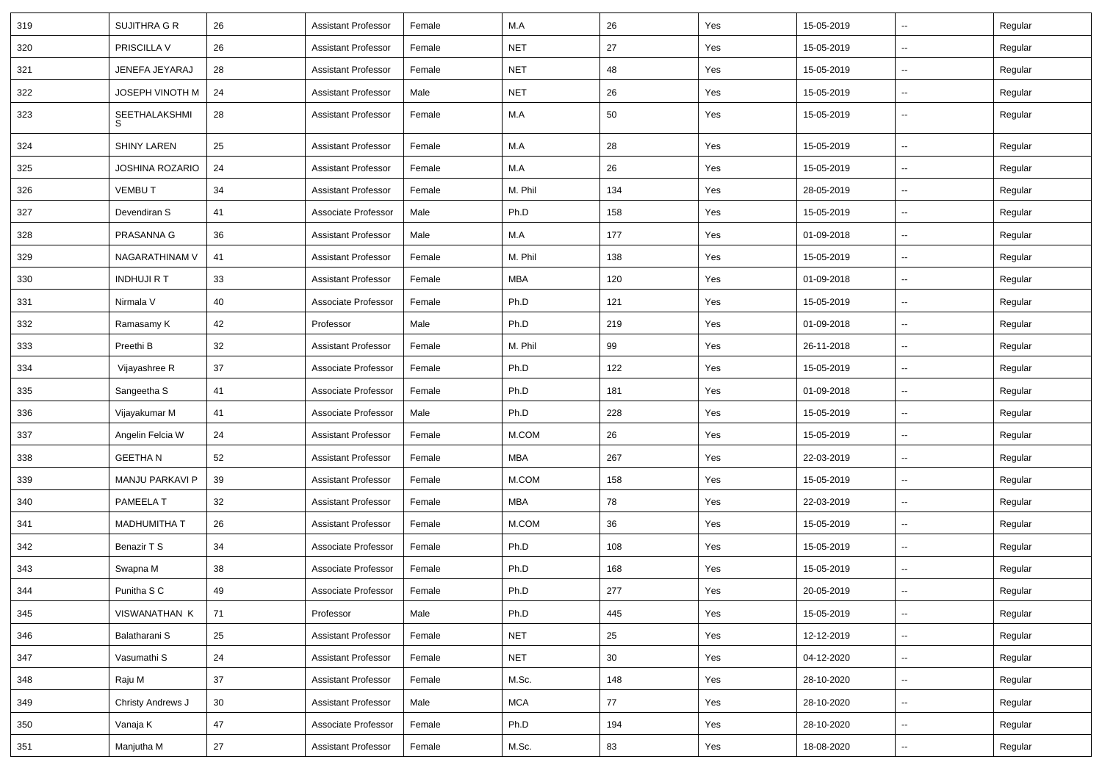| 319 | SUJITHRA G R        | 26     | <b>Assistant Professor</b> | Female | M.A        | 26  | Yes | 15-05-2019 | $\overline{\phantom{a}}$ | Regular |
|-----|---------------------|--------|----------------------------|--------|------------|-----|-----|------------|--------------------------|---------|
| 320 | PRISCILLA V         | 26     | <b>Assistant Professor</b> | Female | <b>NET</b> | 27  | Yes | 15-05-2019 | Щ,                       | Regular |
| 321 | JENEFA JEYARAJ      | 28     | Assistant Professor        | Female | <b>NET</b> | 48  | Yes | 15-05-2019 | Щ,                       | Regular |
| 322 | JOSEPH VINOTH M     | 24     | <b>Assistant Professor</b> | Male   | <b>NET</b> | 26  | Yes | 15-05-2019 | $\overline{\phantom{a}}$ | Regular |
| 323 | SEETHALAKSHMI<br>S  | 28     | <b>Assistant Professor</b> | Female | M.A        | 50  | Yes | 15-05-2019 | $\overline{\phantom{a}}$ | Regular |
| 324 | <b>SHINY LAREN</b>  | 25     | <b>Assistant Professor</b> | Female | M.A        | 28  | Yes | 15-05-2019 | Ц.                       | Regular |
| 325 | JOSHINA ROZARIO     | 24     | <b>Assistant Professor</b> | Female | M.A        | 26  | Yes | 15-05-2019 | Ξ.                       | Regular |
| 326 | <b>VEMBUT</b>       | 34     | <b>Assistant Professor</b> | Female | M. Phil    | 134 | Yes | 28-05-2019 | Ц.                       | Regular |
| 327 | Devendiran S        | 41     | Associate Professor        | Male   | Ph.D       | 158 | Yes | 15-05-2019 | $\overline{\phantom{a}}$ | Regular |
| 328 | PRASANNA G          | 36     | <b>Assistant Professor</b> | Male   | M.A        | 177 | Yes | 01-09-2018 | Щ,                       | Regular |
| 329 | NAGARATHINAM V      | 41     | <b>Assistant Professor</b> | Female | M. Phil    | 138 | Yes | 15-05-2019 | $\overline{\phantom{a}}$ | Regular |
| 330 | <b>INDHUJI R T</b>  | 33     | <b>Assistant Professor</b> | Female | <b>MBA</b> | 120 | Yes | 01-09-2018 | Ξ.                       | Regular |
| 331 | Nirmala V           | 40     | Associate Professor        | Female | Ph.D       | 121 | Yes | 15-05-2019 | Ц.                       | Regular |
| 332 | Ramasamy K          | 42     | Professor                  | Male   | Ph.D       | 219 | Yes | 01-09-2018 | Ξ.                       | Regular |
| 333 | Preethi B           | 32     | <b>Assistant Professor</b> | Female | M. Phil    | 99  | Yes | 26-11-2018 | ۰.                       | Regular |
| 334 | Vijayashree R       | 37     | Associate Professor        | Female | Ph.D       | 122 | Yes | 15-05-2019 | Ξ.                       | Regular |
| 335 | Sangeetha S         | 41     | Associate Professor        | Female | Ph.D       | 181 | Yes | 01-09-2018 | Ξ.                       | Regular |
| 336 | Vijayakumar M       | 41     | Associate Professor        | Male   | Ph.D       | 228 | Yes | 15-05-2019 | Ξ.                       | Regular |
| 337 | Angelin Felcia W    | 24     | <b>Assistant Professor</b> | Female | M.COM      | 26  | Yes | 15-05-2019 | Ξ.                       | Regular |
| 338 | <b>GEETHAN</b>      | 52     | <b>Assistant Professor</b> | Female | <b>MBA</b> | 267 | Yes | 22-03-2019 | Ξ.                       | Regular |
| 339 | MANJU PARKAVI P     | 39     | <b>Assistant Professor</b> | Female | M.COM      | 158 | Yes | 15-05-2019 | $\overline{\phantom{a}}$ | Regular |
| 340 | PAMEELA T           | 32     | <b>Assistant Professor</b> | Female | <b>MBA</b> | 78  | Yes | 22-03-2019 | ۰.                       | Regular |
| 341 | <b>MADHUMITHA T</b> | 26     | <b>Assistant Professor</b> | Female | M.COM      | 36  | Yes | 15-05-2019 | $\overline{\phantom{a}}$ | Regular |
| 342 | Benazir T S         | 34     | Associate Professor        | Female | Ph.D       | 108 | Yes | 15-05-2019 | Ξ.                       | Regular |
| 343 | Swapna M            | 38     | Associate Professor        | Female | Ph.D       | 168 | Yes | 15-05-2019 | Ξ.                       | Regular |
| 344 | Punitha S C         | 49     | Associate Professor        | Female | Ph.D       | 277 | Yes | 20-05-2019 | Ξ.                       | Regular |
| 345 | VISWANATHAN K       | 71     | Professor                  | Male   | Ph.D       | 445 | Yes | 15-05-2019 | --                       | Regular |
| 346 | Balatharani S       | 25     | <b>Assistant Professor</b> | Female | <b>NET</b> | 25  | Yes | 12-12-2019 | --                       | Regular |
| 347 | Vasumathi S         | 24     | <b>Assistant Professor</b> | Female | <b>NET</b> | 30  | Yes | 04-12-2020 | Ц.                       | Regular |
| 348 | Raju M              | 37     | <b>Assistant Professor</b> | Female | M.Sc.      | 148 | Yes | 28-10-2020 | Ξ.                       | Regular |
| 349 | Christy Andrews J   | 30     | <b>Assistant Professor</b> | Male   | <b>MCA</b> | 77  | Yes | 28-10-2020 | Ц.                       | Regular |
| 350 | Vanaja K            | $47\,$ | Associate Professor        | Female | Ph.D       | 194 | Yes | 28-10-2020 | Ц.                       | Regular |
| 351 | Manjutha M          | 27     | <b>Assistant Professor</b> | Female | M.Sc.      | 83  | Yes | 18-08-2020 | щ.                       | Regular |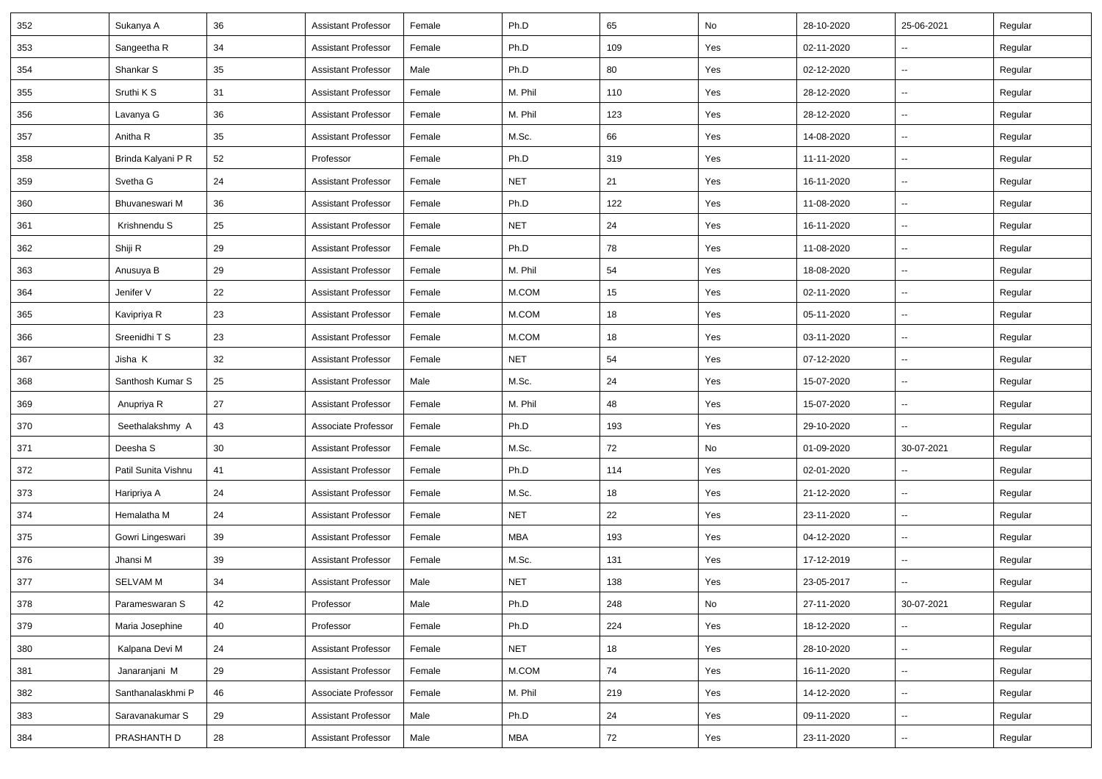| 352 | Sukanya A            | 36 | <b>Assistant Professor</b> | Female | Ph.D       | 65  | No  | 28-10-2020 | 25-06-2021               | Regular |
|-----|----------------------|----|----------------------------|--------|------------|-----|-----|------------|--------------------------|---------|
| 353 | Sangeetha R          | 34 | Assistant Professor        | Female | Ph.D       | 109 | Yes | 02-11-2020 | --                       | Regular |
| 354 | Shankar <sub>S</sub> | 35 | <b>Assistant Professor</b> | Male   | Ph.D       | 80  | Yes | 02-12-2020 | $\sim$                   | Regular |
| 355 | Sruthi K S           | 31 | <b>Assistant Professor</b> | Female | M. Phil    | 110 | Yes | 28-12-2020 | --                       | Regular |
| 356 | Lavanya G            | 36 | <b>Assistant Professor</b> | Female | M. Phil    | 123 | Yes | 28-12-2020 | -−                       | Regular |
| 357 | Anitha R             | 35 | <b>Assistant Professor</b> | Female | M.Sc.      | 66  | Yes | 14-08-2020 | ÷.                       | Regular |
| 358 | Brinda Kalyani P R   | 52 | Professor                  | Female | Ph.D       | 319 | Yes | 11-11-2020 | $\overline{\phantom{a}}$ | Regular |
| 359 | Svetha G             | 24 | <b>Assistant Professor</b> | Female | <b>NET</b> | 21  | Yes | 16-11-2020 | -−                       | Regular |
| 360 | Bhuvaneswari M       | 36 | <b>Assistant Professor</b> | Female | Ph.D       | 122 | Yes | 11-08-2020 | $\sim$                   | Regular |
| 361 | Krishnendu S         | 25 | <b>Assistant Professor</b> | Female | <b>NET</b> | 24  | Yes | 16-11-2020 | $\sim$                   | Regular |
| 362 | Shiji R              | 29 | <b>Assistant Professor</b> | Female | Ph.D       | 78  | Yes | 11-08-2020 | -−                       | Regular |
| 363 | Anusuya B            | 29 | <b>Assistant Professor</b> | Female | M. Phil    | 54  | Yes | 18-08-2020 | $\overline{\phantom{a}}$ | Regular |
| 364 | Jenifer V            | 22 | <b>Assistant Professor</b> | Female | M.COM      | 15  | Yes | 02-11-2020 | $\overline{\phantom{a}}$ | Regular |
| 365 | Kavipriya R          | 23 | <b>Assistant Professor</b> | Female | M.COM      | 18  | Yes | 05-11-2020 | $\overline{\phantom{a}}$ | Regular |
| 366 | Sreenidhi T S        | 23 | <b>Assistant Professor</b> | Female | M.COM      | 18  | Yes | 03-11-2020 | Щ,                       | Regular |
| 367 | Jisha K              | 32 | <b>Assistant Professor</b> | Female | <b>NET</b> | 54  | Yes | 07-12-2020 | -−                       | Regular |
| 368 | Santhosh Kumar S     | 25 | <b>Assistant Professor</b> | Male   | M.Sc.      | 24  | Yes | 15-07-2020 | -−                       | Regular |
| 369 | Anupriya R           | 27 | <b>Assistant Professor</b> | Female | M. Phil    | 48  | Yes | 15-07-2020 | $\overline{\phantom{a}}$ | Regular |
| 370 | Seethalakshmy A      | 43 | Associate Professor        | Female | Ph.D       | 193 | Yes | 29-10-2020 | Щ,                       | Regular |
| 371 | Deesha S             | 30 | <b>Assistant Professor</b> | Female | M.Sc.      | 72  | No  | 01-09-2020 | 30-07-2021               | Regular |
| 372 | Patil Sunita Vishnu  | 41 | Assistant Professor        | Female | Ph.D       | 114 | Yes | 02-01-2020 | Щ,                       | Regular |
| 373 | Haripriya A          | 24 | <b>Assistant Professor</b> | Female | M.Sc.      | 18  | Yes | 21-12-2020 | --                       | Regular |
| 374 | Hemalatha M          | 24 | <b>Assistant Professor</b> | Female | <b>NET</b> | 22  | Yes | 23-11-2020 | -−                       | Regular |
| 375 | Gowri Lingeswari     | 39 | <b>Assistant Professor</b> | Female | <b>MBA</b> | 193 | Yes | 04-12-2020 | Щ,                       | Regular |
| 376 | Jhansi M             | 39 | <b>Assistant Professor</b> | Female | M.Sc.      | 131 | Yes | 17-12-2019 | $\overline{\phantom{a}}$ | Regular |
| 377 | <b>SELVAM M</b>      | 34 | <b>Assistant Professor</b> | Male   | <b>NET</b> | 138 | Yes | 23-05-2017 | -−                       | Regular |
| 378 | Parameswaran S       | 42 | Professor                  | Male   | Ph.D       | 248 | No  | 27-11-2020 | 30-07-2021               | Regular |
| 379 | Maria Josephine      | 40 | Professor                  | Female | Ph.D       | 224 | Yes | 18-12-2020 | $\overline{\phantom{a}}$ | Regular |
| 380 | Kalpana Devi M       | 24 | <b>Assistant Professor</b> | Female | <b>NET</b> | 18  | Yes | 28-10-2020 | Щ,                       | Regular |
| 381 | Janaranjani M        | 29 | <b>Assistant Professor</b> | Female | M.COM      | 74  | Yes | 16-11-2020 | Щ,                       | Regular |
| 382 | Santhanalaskhmi P    | 46 | Associate Professor        | Female | M. Phil    | 219 | Yes | 14-12-2020 | $\overline{\phantom{a}}$ | Regular |
| 383 | Saravanakumar S      | 29 | Assistant Professor        | Male   | Ph.D       | 24  | Yes | 09-11-2020 | Щ,                       | Regular |
| 384 | PRASHANTH D          | 28 | <b>Assistant Professor</b> | Male   | MBA        | 72  | Yes | 23-11-2020 | щ.                       | Regular |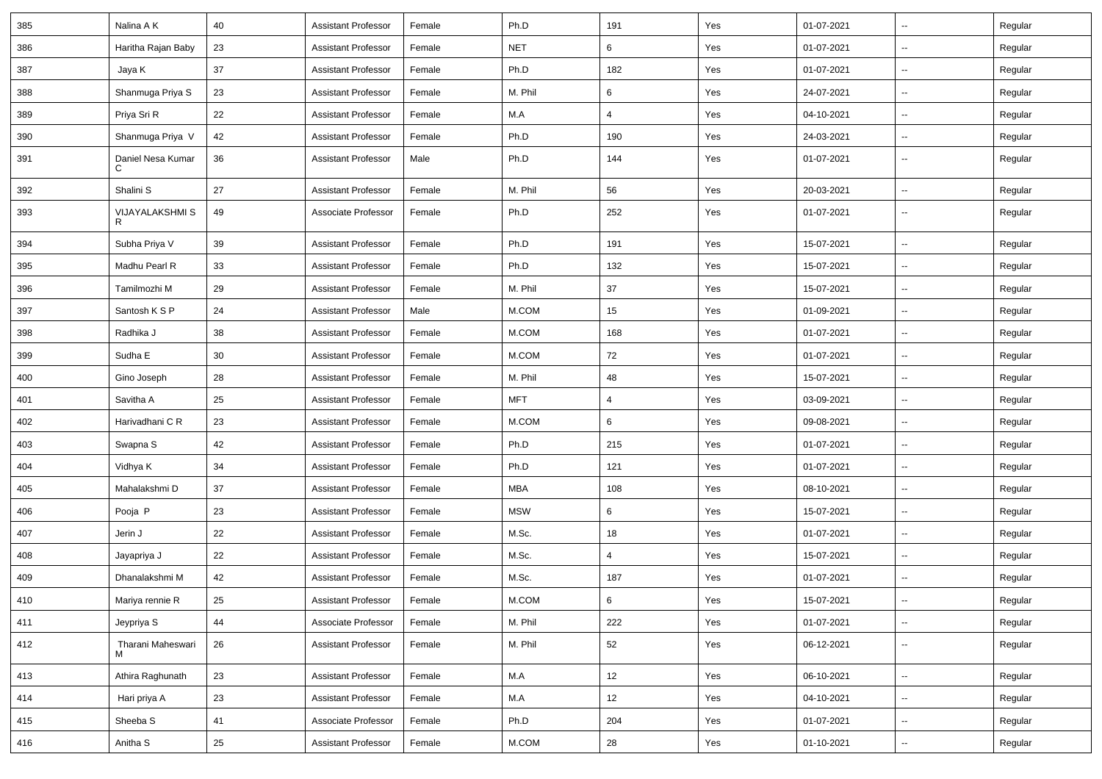| 385 | Nalina A K             | 40 | <b>Assistant Professor</b> | Female | Ph.D                | 191   | Yes | 01-07-2021 | $\overline{\phantom{a}}$ | Regular |
|-----|------------------------|----|----------------------------|--------|---------------------|-------|-----|------------|--------------------------|---------|
| 386 | Haritha Rajan Baby     | 23 | <b>Assistant Professor</b> | Female | <b>NET</b>          | 6     | Yes | 01-07-2021 | $\sim$                   | Regular |
| 387 | Jaya K                 | 37 | <b>Assistant Professor</b> | Female | Ph.D                | 182   | Yes | 01-07-2021 | Ξ.                       | Regular |
| 388 | Shanmuga Priya S       | 23 | Assistant Professor        | Female | M. Phil             | 6     | Yes | 24-07-2021 | $\overline{\phantom{a}}$ | Regular |
| 389 | Priya Sri R            | 22 | Assistant Professor        | Female | M.A                 | 4     | Yes | 04-10-2021 | $\overline{\phantom{a}}$ | Regular |
| 390 | Shanmuga Priya V       | 42 | <b>Assistant Professor</b> | Female | Ph.D                | 190   | Yes | 24-03-2021 | Ξ.                       | Regular |
| 391 | Daniel Nesa Kumar<br>C | 36 | <b>Assistant Professor</b> | Male   | Ph.D                | 144   | Yes | 01-07-2021 | $\sim$                   | Regular |
| 392 | Shalini S              | 27 | <b>Assistant Professor</b> | Female | M. Phil             | 56    | Yes | 20-03-2021 | $\sim$                   | Regular |
| 393 | VIJAYALAKSHMI S<br>R   | 49 | Associate Professor        | Female | Ph.D                | 252   | Yes | 01-07-2021 | н.                       | Regular |
| 394 | Subha Priya V          | 39 | <b>Assistant Professor</b> | Female | Ph.D                | 191   | Yes | 15-07-2021 | $\sim$                   | Regular |
| 395 | Madhu Pearl R          | 33 | <b>Assistant Professor</b> | Female | Ph.D                | 132   | Yes | 15-07-2021 | $\sim$                   | Regular |
| 396 | Tamilmozhi M           | 29 | <b>Assistant Professor</b> | Female | M. Phil             | 37    | Yes | 15-07-2021 | $\overline{\phantom{a}}$ | Regular |
| 397 | Santosh K S P          | 24 | <b>Assistant Professor</b> | Male   | M.COM               | 15    | Yes | 01-09-2021 | $\overline{\phantom{a}}$ | Regular |
| 398 | Radhika J              | 38 | <b>Assistant Professor</b> | Female | M.COM               | 168   | Yes | 01-07-2021 | $\sim$                   | Regular |
| 399 | Sudha E                | 30 | <b>Assistant Professor</b> | Female | M.COM               | 72    | Yes | 01-07-2021 | $\sim$                   | Regular |
| 400 | Gino Joseph            | 28 | <b>Assistant Professor</b> | Female | M. Phil             | 48    | Yes | 15-07-2021 | $\sim$                   | Regular |
| 401 | Savitha A              | 25 | <b>Assistant Professor</b> | Female | <b>MFT</b>          | 4     | Yes | 03-09-2021 | $\overline{\phantom{a}}$ | Regular |
| 402 | Harivadhani C R        | 23 | <b>Assistant Professor</b> | Female | M.COM               | 6     | Yes | 09-08-2021 | $\overline{\phantom{a}}$ | Regular |
| 403 | Swapna S               | 42 | <b>Assistant Professor</b> | Female | Ph.D                | 215   | Yes | 01-07-2021 | $\overline{\phantom{a}}$ | Regular |
| 404 | Vidhya K               | 34 | <b>Assistant Professor</b> | Female | Ph.D                | 121   | Yes | 01-07-2021 | $\overline{\phantom{a}}$ | Regular |
| 405 | Mahalakshmi D          | 37 | <b>Assistant Professor</b> | Female | <b>MBA</b>          | 108   | Yes | 08-10-2021 | $\sim$                   | Regular |
| 406 | Pooja P                | 23 | <b>Assistant Professor</b> | Female | <b>MSW</b>          | 6     | Yes | 15-07-2021 | ⊷.                       | Regular |
| 407 | Jerin J                | 22 | <b>Assistant Professor</b> | Female | M.Sc.               | 18    | Yes | 01-07-2021 | $\sim$                   | Regular |
| 408 | Jayapriya J            | 22 | <b>Assistant Professor</b> | Female | M.Sc.               | 4     | Yes | 15-07-2021 | --                       | Regular |
| 409 | Dhanalakshmi M         | 42 | <b>Assistant Professor</b> | Female | M.Sc.               | 187   | Yes | 01-07-2021 | $\overline{\phantom{a}}$ | Regular |
| 410 | Mariya rennie R        | 25 | Assistant Professor        | Female | $M_{\rm \star}$ COM | $\,6$ | Yes | 15-07-2021 |                          | Regular |
| 411 | Jeypriya S             | 44 | Associate Professor        | Female | M. Phil             | 222   | Yes | 01-07-2021 | $\sim$                   | Regular |
| 412 | Tharani Maheswari<br>М | 26 | <b>Assistant Professor</b> | Female | M. Phil             | 52    | Yes | 06-12-2021 | $\sim$                   | Regular |
| 413 | Athira Raghunath       | 23 | <b>Assistant Professor</b> | Female | M.A                 | 12    | Yes | 06-10-2021 | $\sim$                   | Regular |
| 414 | Hari priya A           | 23 | <b>Assistant Professor</b> | Female | M.A                 | 12    | Yes | 04-10-2021 | $\overline{\phantom{a}}$ | Regular |
| 415 | Sheeba S               | 41 | Associate Professor        | Female | Ph.D                | 204   | Yes | 01-07-2021 | $\overline{\phantom{a}}$ | Regular |
| 416 | Anitha S               | 25 | <b>Assistant Professor</b> | Female | M.COM               | 28    | Yes | 01-10-2021 | −−                       | Regular |